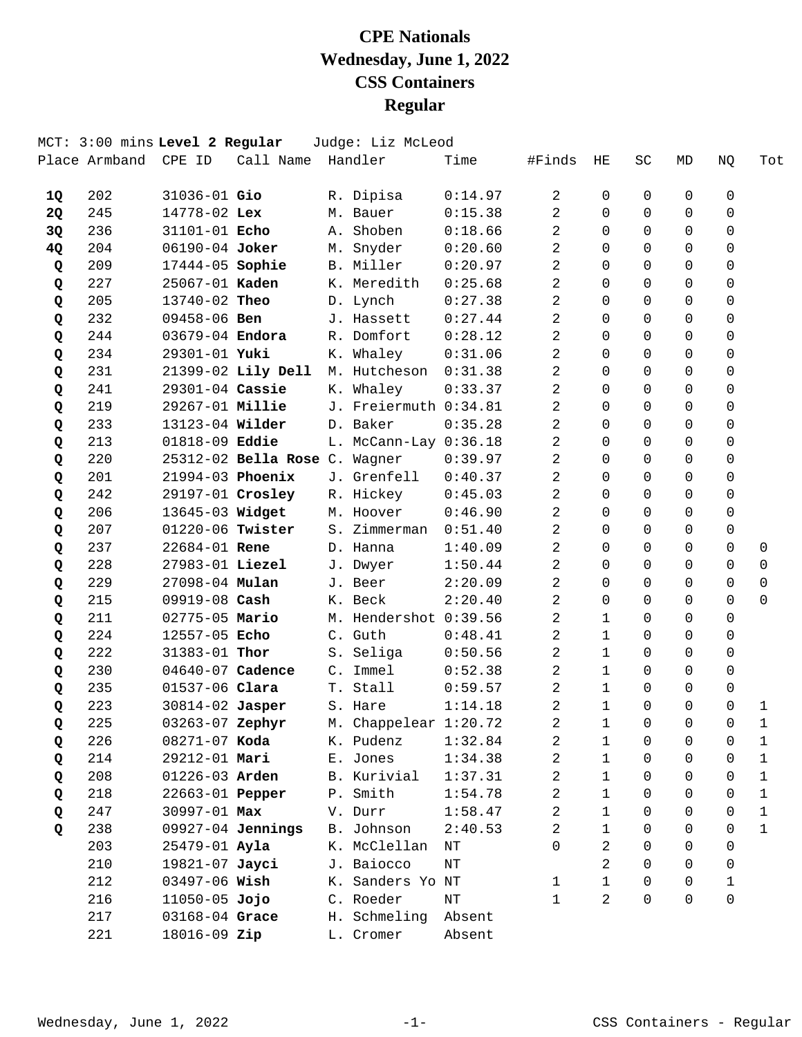|    | MCT: 3:00 mins Level 2 Regular |                    |                               | Judge: Liz McLeod     |           |                |              |           |              |             |              |
|----|--------------------------------|--------------------|-------------------------------|-----------------------|-----------|----------------|--------------|-----------|--------------|-------------|--------------|
|    | Place Armband                  | CPE ID             | Call Name                     | Handler               | Time      | #Finds         | ΗE           | <b>SC</b> | MD           | NQ          | Tot          |
| 1Q | 202                            | 31036-01 Gio       |                               | R. Dipisa             | 0:14.97   | 2              | 0            | 0         | 0            | 0           |              |
| 2Q | 245                            | 14778-02 Lex       |                               | M. Bauer              | 0:15.38   | 2              | $\Omega$     | 0         | $\Omega$     | 0           |              |
| 3Q | 236                            | 31101-01 Echo      |                               | A. Shoben             | 0:18.66   | 2              | $\Omega$     | $\Omega$  | $\mathsf{O}$ | $\mathbf 0$ |              |
| 4Q | 204                            | 06190-04 Joker     |                               | M. Snyder             | 0:20.60   | 2              | $\Omega$     | 0         | $\Omega$     | $\mathbf 0$ |              |
| Q  | 209                            | 17444-05 Sophie    |                               | B. Miller             | 0:20.97   | 2              | $\Omega$     | $\Omega$  | $\Omega$     | $\Omega$    |              |
| Q  | 227                            | 25067-01 Kaden     |                               | K. Meredith           | 0:25.68   | 2              | $\Omega$     | 0         | $\Omega$     | $\Omega$    |              |
| Q  | 205                            | 13740-02 Theo      |                               | D. Lynch              | 0:27.38   | $\overline{c}$ | $\Omega$     | $\Omega$  | $\Omega$     | $\mathbf 0$ |              |
| Q  | 232                            | 09458-06 Ben       |                               | J. Hassett            | 0:27.44   | 2              | $\Omega$     | 0         | $\Omega$     | $\mathbf 0$ |              |
| Q  | 244                            | 03679-04 Endora    |                               | R. Domfort            | 0:28.12   | 2              | $\Omega$     | 0         | $\Omega$     | 0           |              |
| Q  | 234                            | 29301-01 Yuki      |                               | K. Whaley             | 0:31.06   | 2              | $\Omega$     | 0         | $\Omega$     | $\Omega$    |              |
| Q  | 231                            |                    | 21399-02 Lily Dell            | M. Hutcheson          | 0:31.38   | $\overline{c}$ | $\Omega$     | 0         | $\Omega$     | $\mathbf 0$ |              |
| Q  | 241                            | 29301-04 Cassie    |                               | K. Whaley             | 0:33.37   | 2              | $\Omega$     | $\Omega$  | $\mathsf{O}$ | $\mathbf 0$ |              |
| Q  | 219                            | 29267-01 Millie    |                               | J. Freiermuth 0:34.81 |           | 2              | $\Omega$     | 0         | $\Omega$     | $\Omega$    |              |
| Q  | 233                            | 13123-04 Wilder    |                               | D. Baker              | 0:35.28   | 2              | $\Omega$     | 0         | $\Omega$     | $\Omega$    |              |
| Q  | 213                            | 01818-09 Eddie     |                               | L. McCann-Lay 0:36.18 |           | 2              | $\Omega$     | $\Omega$  | $\Omega$     | $\mathbf 0$ |              |
| Q  | 220                            |                    | 25312-02 Bella Rose C. Wagner |                       | 0:39.97   | $\overline{c}$ | $\Omega$     | 0         | $\mathbf 0$  | $\mathbf 0$ |              |
| Q  | 201                            | $21994-03$ Phoenix |                               | J. Grenfell           | 0:40.37   | 2              | $\Omega$     | 0         | $\Omega$     | $\Omega$    |              |
| Q  | 242                            |                    | 29197-01 Crosley              | R. Hickey             | 0:45.03   | 2              | $\Omega$     | 0         | $\Omega$     | $\mathbf 0$ |              |
| Q  | 206                            | 13645-03 Widget    |                               | M. Hoover             | 0:46.90   | 2              | $\Omega$     | 0         | $\Omega$     | $\Omega$    |              |
| Q  | 207                            | 01220-06 Twister   |                               | S. Zimmerman          | 0:51.40   | 2              | $\Omega$     | 0         | $\Omega$     | $\mathbf 0$ |              |
| Q  | 237                            | 22684-01 Rene      |                               | D. Hanna              | 1:40.09   | 2              | $\Omega$     | 0         | $\Omega$     | $\Omega$    | $\mathbf 0$  |
| Q  | 228                            | 27983-01 Liezel    |                               | J. Dwyer              | 1:50.44   | 2              | $\Omega$     | 0         | $\Omega$     | $\Omega$    | 0            |
| Q  | 229                            | 27098-04 Mulan     |                               | J. Beer               | 2:20.09   | 2              | $\Omega$     | 0         | $\Omega$     | $\Omega$    | $\mathbf 0$  |
| Q  | 215                            | 09919-08 Cash      |                               | K. Beck               | 2:20.40   | 2              | 0            | 0         | $\Omega$     | $\Omega$    | $\Omega$     |
| Q  | 211                            | 02775-05 Mario     |                               | M. Hendershot 0:39.56 |           | 2              | 1            | 0         | $\Omega$     | $\mathbf 0$ |              |
| Q  | 224                            | 12557-05 Echo      |                               | C. Guth               | 0:48.41   | 2              | $\mathbf{1}$ | 0         | $\Omega$     | 0           |              |
| Q  | 222                            | 31383-01 Thor      |                               | S. Seliga             | 0:50.56   | 2              | $\mathbf{1}$ | 0         | $\Omega$     | 0           |              |
| Q  | 230                            | 04640-07 Cadence   |                               | C. Immel              | 0:52.38   | 2              | $\mathbf{1}$ | $\Omega$  | $\mathbf 0$  | $\mathbf 0$ |              |
| Q  | 235                            | 01537-06 Clara     |                               | T. Stall              | 0:59.57   | 2              | 1            | 0         | 0            | 0           |              |
| Q  | 223                            | 30814-02 Jasper    |                               | S. Hare               | 1:14.18   | 2              | $\mathbf{1}$ | 0         | $\Omega$     | $\Omega$    | $\mathbf{1}$ |
| Q  | 225                            | 03263-07 Zephyr    |                               | M. Chappelear 1:20.72 |           | 2              | 1            | 0         | 0            | 0           | 1            |
| Q  | 226                            | 08271-07 Koda      |                               | K. Pudenz             | 1:32.84   | 2              | 1            | 0         | 0            | 0           | $\mathbf{1}$ |
| Q  | 214                            | 29212-01 Mari      |                               | E. Jones              | 1:34.38   | 2              | 1            | 0         | 0            | 0           | 1            |
| Q  | 208                            | 01226-03 Arden     |                               | B. Kurivial           | 1:37.31   | 2              | $\mathbf{1}$ | 0         | 0            | 0           | $\mathbf 1$  |
| Q  | 218                            | 22663-01 Pepper    |                               | P. Smith              | 1:54.78   | 2              | 1            | 0         | 0            | 0           | $\mathbf{1}$ |
| Q  | 247                            | 30997-01 Max       |                               | V. Durr               | 1:58.47   | 2              | $\mathbf{1}$ | 0         | 0            | 0           | $\mathbf{1}$ |
| Q  | 238                            |                    | 09927-04 Jennings             | B. Johnson            | 2:40.53   | 2              | $\mathbf{1}$ | 0         | 0            | $\Omega$    | $\mathbf{1}$ |
|    | 203                            | $25479 - 01$ Ayla  |                               | K. McClellan          | $\rm{NT}$ | 0              | 2            | 0         | 0            | $\Omega$    |              |
|    | 210                            | 19821-07 Jayci     |                               | J. Baiocco            | $\rm{NT}$ |                | 2            | 0         | 0            | 0           |              |
|    | 212                            | 03497-06 Wish      |                               | K. Sanders Yo NT      |           | $\mathbf{1}$   | $\mathbf{1}$ | 0         | 0            | 1           |              |
|    | 216                            | $11050 - 05$ Jojo  |                               | C. Roeder             | NΤ        | 1              | 2            | $\Omega$  | $\Omega$     | $\mathbf 0$ |              |
|    | 217                            | 03168-04 Grace     |                               | H. Schmeling          | Absent    |                |              |           |              |             |              |
|    | 221                            | 18016-09 Zip       |                               | L. Cromer             | Absent    |                |              |           |              |             |              |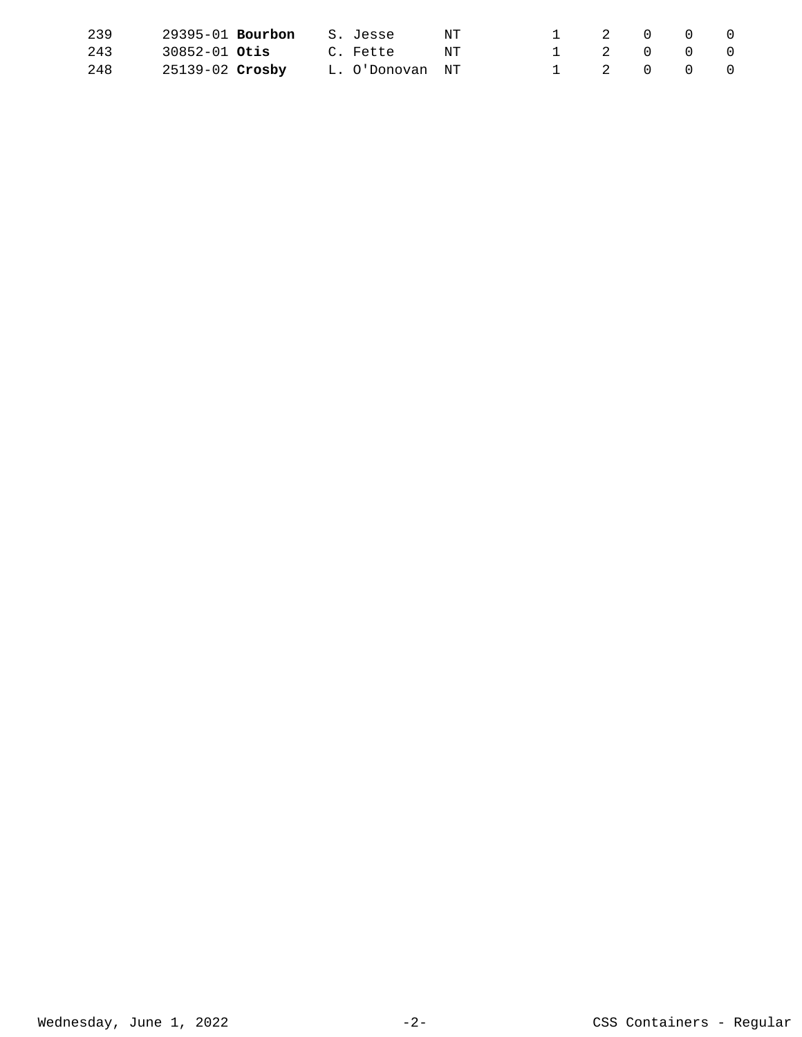| 239 | $29395 - 01$ Bourbon S. Jesse |                 | NT | 1 2 0 0 0                           |  |  |
|-----|-------------------------------|-----------------|----|-------------------------------------|--|--|
| 243 | 30852-01 <b>Otis</b>          | C. Fette        | NT | $1 \quad 2 \quad 0 \quad 0 \quad 0$ |  |  |
| 248 | 25139-02 <b>Crosby</b>        | L. O'Donovan NT |    | 1 2 0 0 0                           |  |  |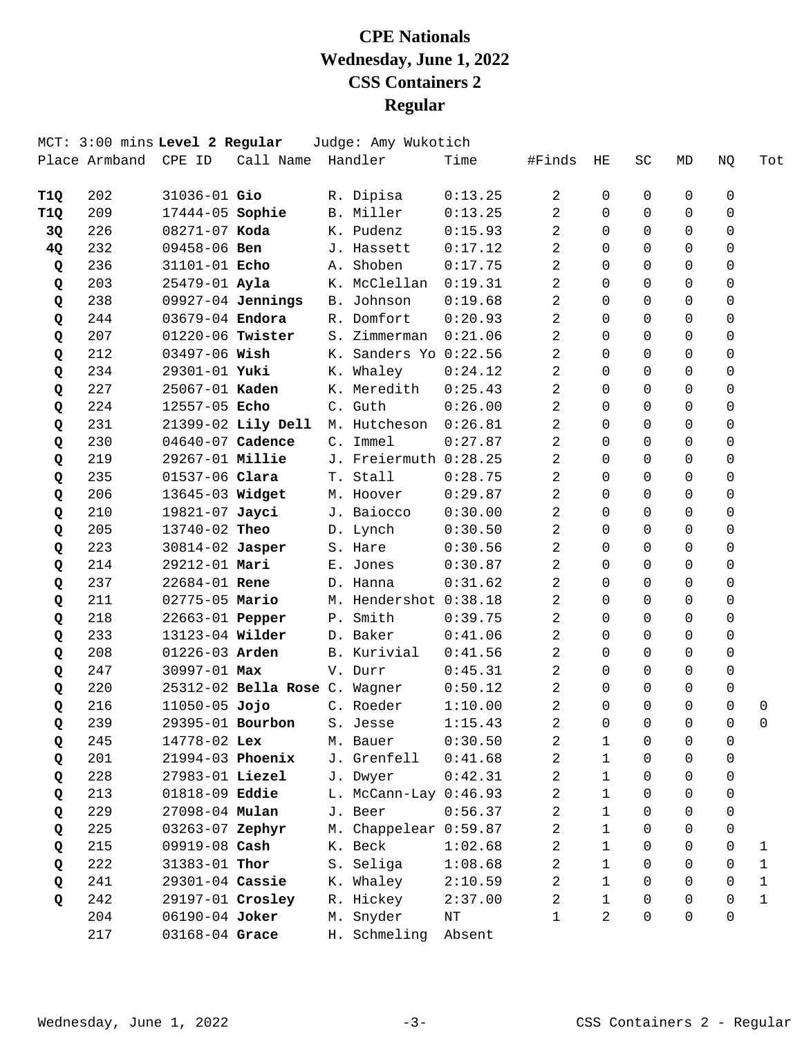|            | MCT: 3:00 mins Level 2 Regular |                   |                               |       | Judge: Amy Wukotich     |                    |                |              |          |              |               |                             |
|------------|--------------------------------|-------------------|-------------------------------|-------|-------------------------|--------------------|----------------|--------------|----------|--------------|---------------|-----------------------------|
|            | Place Armband                  | CPE ID            | Call Name                     |       | Handler                 | Time               | #Finds         | HE           | SC       | MD           | NQ            | Tot                         |
|            | 202                            | $31036 - 01$ Gio  |                               |       |                         | 0:13.25            | 2              | 0            | 0        | $\mathbf 0$  | 0             |                             |
| T1Q<br>T1Q | 209                            | 17444-05 Sophie   |                               |       | R. Dipisa<br>B. Miller  | 0:13.25            | 2              | $\Omega$     | 0        | $\Omega$     | 0             |                             |
| 3Q         | 226                            | 08271-07 Koda     |                               |       | K. Pudenz               | 0:15.93            | 2              | $\Omega$     | $\Omega$ | $\mathsf{O}$ | 0             |                             |
| 4Q         | 232                            | 09458-06 Ben      |                               |       | J. Hassett              | 0:17.12            | 2              | $\Omega$     | 0        | $\Omega$     | 0             |                             |
| Q          | 236                            | 31101-01 Echo     |                               | Α.    | Shoben                  | 0:17.75            | 2              | $\Omega$     | $\Omega$ | $\Omega$     | $\Omega$      |                             |
| Q          | 203                            | $25479 - 01$ Ayla |                               |       | K. McClellan            | 0:19.31            | 2              | $\Omega$     | 0        | $\Omega$     | $\Omega$      |                             |
| Q          | 238                            |                   | 09927-04 Jennings             |       | B. Johnson              | 0:19.68            | 2              | $\Omega$     | $\Omega$ | $\Omega$     | 0             |                             |
| Q          | 244                            | 03679-04 Endora   |                               |       | R. Domfort              | 0:20.93            | 2              | $\Omega$     | 0        | $\Omega$     | 0             |                             |
| Q          | 207                            |                   | 01220-06 Twister              | $S$ . | Zimmerman               | 0:21.06            | 2              | 0            | 0        | $\Omega$     | 0             |                             |
| Q          | 212                            | 03497-06 Wish     |                               |       | K. Sanders Yo 0:22.56   |                    | 2              | $\Omega$     | 0        | $\Omega$     | $\Omega$      |                             |
| Q          | 234                            | 29301-01 Yuki     |                               |       | K. Whaley               | 0:24.12            | 2              | $\Omega$     | $\Omega$ | $\Omega$     | 0             |                             |
| Q          | 227                            | 25067-01 Kaden    |                               |       | K. Meredith             | 0:25.43            | 2              | $\Omega$     | $\Omega$ | $\Omega$     | 0             |                             |
| Q          | 224                            | 12557-05 Echo     |                               |       | C. Guth                 | 0:26.00            | $\overline{2}$ | $\Omega$     | $\Omega$ | $\Omega$     | $\Omega$      |                             |
| Q          | 231                            |                   | 21399-02 Lily Dell            |       | M. Hutcheson            | 0:26.81            | $\overline{2}$ | $\Omega$     | 0        | $\Omega$     | 0             |                             |
| Q          | 230                            | 04640-07 Cadence  |                               |       | C. Immel                | 0:27.87            | 2              | $\Omega$     | $\Omega$ | $\Omega$     | 0             |                             |
| Q          | 219                            | 29267-01 Millie   |                               |       | J. Freiermuth 0:28.25   |                    | 2              | $\Omega$     | $\Omega$ | $\mathsf{O}$ | 0             |                             |
| Q          | 235                            | 01537-06 Clara    |                               |       | T. Stall                | 0:28.75            | 2              | $\Omega$     | 0        | $\Omega$     | 0             |                             |
| Q          | 206                            | 13645-03 Widget   |                               |       | M. Hoover               | 0:29.87            | $\overline{2}$ | 0            | 0        | $\Omega$     | 0             |                             |
| Q          | 210                            | 19821-07 Jayci    |                               |       | J. Baiocco              | 0:30.00            | 2              | $\Omega$     | 0        | $\Omega$     | 0             |                             |
| Q          | 205                            | 13740-02 Theo     |                               |       | D. Lynch                | 0:30.50            | 2              | $\Omega$     | 0        | $\Omega$     | 0             |                             |
| Q          | 223                            | 30814-02 Jasper   |                               |       | S. Hare                 | 0:30.56            | $\overline{2}$ | $\Omega$     | 0        | $\Omega$     | $\Omega$      |                             |
|            | 214                            | 29212-01 Mari     |                               |       | E. Jones                | 0:30.87            | 2              | $\Omega$     | 0        | $\Omega$     | 0             |                             |
| Q          | 237                            | 22684-01 Rene     |                               |       | D. Hanna                | 0:31.62            | 2              | $\Omega$     | 0        | $\Omega$     | $\Omega$      |                             |
| Q          | 211                            | 02775-05 Mario    |                               |       | M. Hendershot 0:38.18   |                    | 2              | $\mathbf 0$  | $\Omega$ | $\mathbf 0$  | 0             |                             |
| Q          | 218                            | 22663-01 Pepper   |                               |       | P. Smith                | 0:39.75            | 2              | $\Omega$     | 0        | $\Omega$     | 0             |                             |
| Q          | 233                            | 13123-04 Wilder   |                               |       | D. Baker                | 0:41.06            | 2              | 0            | 0        | $\Omega$     | 0             |                             |
| Q          | 208                            | 01226-03 Arden    |                               |       | B. Kurivial             | 0:41.56            | 2              | $\Omega$     | 0        | $\Omega$     | 0             |                             |
| Q          | 247                            | 30997-01 Max      |                               |       | V. Durr                 |                    | 2              | $\Omega$     | $\Omega$ | $\Omega$     | 0             |                             |
| Q          |                                |                   |                               |       |                         | 0:45.31            |                | $\Omega$     | 0        | $\Omega$     |               |                             |
| Q          | 220<br>216                     | $11050 - 05$ Jojo | 25312-02 Bella Rose C. Wagner |       | C. Roeder               | 0:50.12<br>1:10.00 | 2<br>2         | $\Omega$     | $\Omega$ | $\Omega$     | 0<br>$\Omega$ | 0                           |
| Q          | 239                            | 29395-01 Bourbon  |                               |       |                         | 1:15.43            | 2              | 0            | 0        | $\mathbf 0$  | 0             | 0                           |
| Q          | 245                            | 14778-02 Lex      |                               |       | S. Jesse<br>M. Bauer    | 0:30.50            | 2              | 1            | 0        | $\mathbf 0$  | 0             |                             |
| Q          | 201                            | 21994-03 Phoenix  |                               |       | J. Grenfell             |                    | 2              | $\mathbf{1}$ | 0        | $\Omega$     | 0             |                             |
| Q          | 228                            | 27983-01 Liezel   |                               |       | J. Dwyer                | 0:41.68<br>0:42.31 | 2              | $\mathbf{1}$ | 0        | $\Omega$     | $\Omega$      |                             |
| Q          | 213                            | 01818-09 Eddie    |                               |       | L. McCann-Lay $0:46.93$ |                    | 2              | $\mathbf{1}$ | 0        | $\Omega$     | $\Omega$      |                             |
| Q          | 229                            | 27098-04 Mulan    |                               |       | J. Beer                 |                    | 2              | $\mathbf{1}$ | 0        | $\Omega$     | 0             |                             |
| Q          | 225                            | 03263-07 Zephyr   |                               |       | M. Chappelear 0:59.87   | 0:56.37            | 2              | $\mathbf{1}$ | 0        | $\Omega$     | 0             |                             |
| Q          | 215                            | 09919-08 Cash     |                               |       | K. Beck                 | 1:02.68            | 2              | $\mathbf{1}$ | 0        | $\Omega$     | 0             |                             |
| Q          | 222                            | 31383-01 Thor     |                               |       |                         |                    | 2              | $\mathbf{1}$ | 0        | 0            | 0             | 1                           |
| Q          | 241                            | 29301-04 Cassie   |                               |       | S. Seliga               | 1:08.68            |                | $\mathbf{1}$ | 0        | $\Omega$     | 0             | 1                           |
| Q          | 242                            |                   |                               |       | K. Whaley<br>R. Hickey  | 2:10.59            | 2<br>2         | $\mathbf{1}$ | $\Omega$ | $\Omega$     | $\Omega$      | $\mathbf 1$<br>$\mathbf{1}$ |
| Q          |                                | 29197-01 Crosley  |                               |       |                         | 2:37.00            |                | 2            | $\Omega$ | $\Omega$     | 0             |                             |
|            | 204                            | 06190-04 Joker    |                               | М.    | Snyder                  | $\rm{NT}$          | $\mathbf{1}$   |              |          |              |               |                             |
|            | 217                            | 03168-04 Grace    |                               |       | H. Schmeling            | Absent             |                |              |          |              |               |                             |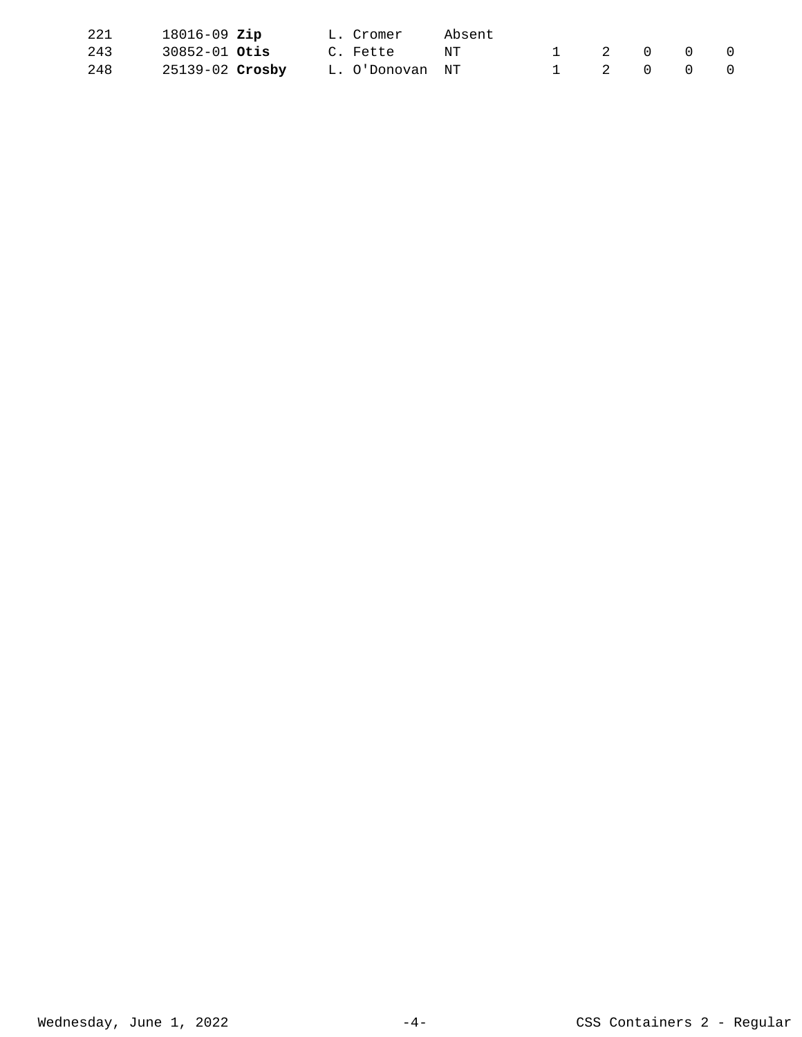| 221 | $18016 - 09$ Zip       |  | L. Cromer       | Absent |           |                                         |  |
|-----|------------------------|--|-----------------|--------|-----------|-----------------------------------------|--|
| 243 | $30852 - 01$ Otis      |  | C. Fette        | NT     |           | $\begin{matrix} 0 & 0 & 0 \end{matrix}$ |  |
| 248 | 25139-02 <b>Crosby</b> |  | L. O'Donovan NT |        | 1 2 0 0 0 |                                         |  |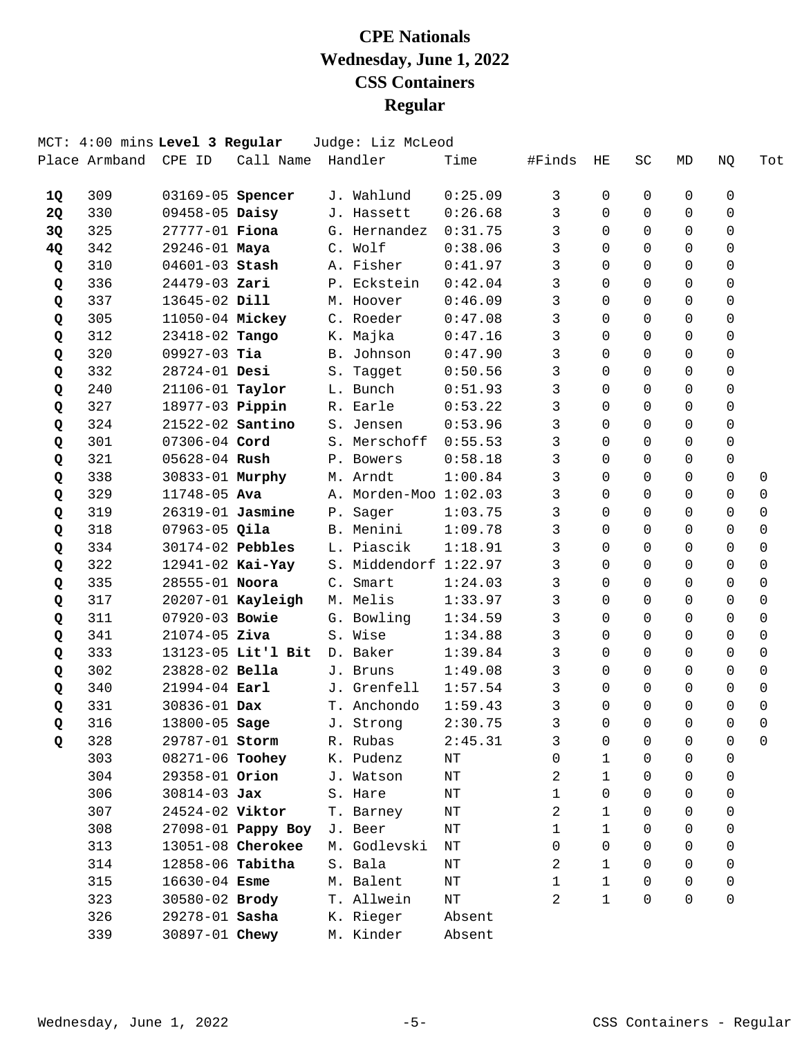|           | MCT: 4:00 mins Level 3 Regular<br>Place Armband | CPE ID            | Call Name          |               | Judge: Liz McLeod<br>Handler | Time    | #Finds | ΗE           | SC       | MD       | NQ          | Tot         |
|-----------|-------------------------------------------------|-------------------|--------------------|---------------|------------------------------|---------|--------|--------------|----------|----------|-------------|-------------|
|           |                                                 |                   |                    |               |                              |         |        |              |          |          |             |             |
| 1Q        | 309                                             | 03169-05 Spencer  |                    |               | J. Wahlund                   | 0:25.09 | 3      | 0            | 0        | 0        | 0           |             |
| <b>2Q</b> | 330                                             | 09458-05 Daisy    |                    |               | J. Hassett                   | 0:26.68 | 3      | $\Omega$     | $\Omega$ | $\Omega$ | 0           |             |
| 3Q        | 325                                             | 27777-01 Fiona    |                    |               | G. Hernandez                 | 0:31.75 | 3      | 0            | $\Omega$ | $\Omega$ | $\mathbf 0$ |             |
| 4Q        | 342                                             | 29246-01 Maya     |                    |               | C. Wolf                      | 0:38.06 | 3      | $\Omega$     | $\Omega$ | $\Omega$ | $\mathbf 0$ |             |
| Q         | 310                                             | 04601-03 Stash    |                    |               | A. Fisher                    | 0:41.97 | 3      | $\Omega$     | $\Omega$ | $\Omega$ | 0           |             |
| Q         | 336                                             | 24479-03 Zari     |                    |               | P. Eckstein                  | 0:42.04 | 3      | $\Omega$     | $\Omega$ | $\Omega$ | $\Omega$    |             |
| Q         | 337                                             | 13645-02 Dill     |                    |               | M. Hoover                    | 0:46.09 | 3      | 0            | $\Omega$ | $\Omega$ | 0           |             |
| Q         | 305                                             | 11050-04 Mickey   |                    |               | C. Roeder                    | 0:47.08 | 3      | $\Omega$     | $\Omega$ | $\Omega$ | 0           |             |
| Q         | 312                                             | 23418-02 Tango    |                    | К.            | Majka                        | 0:47.16 | 3      | $\Omega$     | $\Omega$ | $\Omega$ | 0           |             |
| Q         | 320                                             | $09927-03$ Tia    |                    | <b>B</b> .    | Johnson                      | 0:47.90 | 3      | $\Omega$     | $\Omega$ | $\Omega$ | $\Omega$    |             |
| Q         | 332                                             | 28724-01 Desi     |                    |               | S. Tagget                    | 0:50.56 | 3      | $\Omega$     | $\Omega$ | $\Omega$ | $\mathbf 0$ |             |
| Q         | 240                                             | 21106-01 Taylor   |                    |               | L. Bunch                     | 0:51.93 | 3      | $\Omega$     | $\Omega$ | $\Omega$ | $\Omega$    |             |
| Q         | 327                                             | 18977-03 Pippin   |                    |               | R. Earle                     | 0:53.22 | 3      | $\Omega$     | $\Omega$ | $\Omega$ | $\Omega$    |             |
| Q         | 324                                             | 21522-02 Santino  |                    |               | S. Jensen                    | 0:53.96 | 3      | $\Omega$     | $\Omega$ | $\Omega$ | $\Omega$    |             |
| Q         | 301                                             | 07306-04 Cord     |                    |               | S. Merschoff                 | 0:55.53 | 3      | $\Omega$     | $\Omega$ | $\Omega$ | $\Omega$    |             |
| Q         | 321                                             | 05628-04 Rush     |                    |               | P. Bowers                    | 0:58.18 | 3      | $\Omega$     | $\Omega$ | $\Omega$ | $\mathbf 0$ |             |
| Q         | 338                                             | 30833-01 Murphy   |                    |               | M. Arndt                     | 1:00.84 | 3      | $\Omega$     | $\Omega$ | $\Omega$ | $\Omega$    | 0           |
| Q         | 329                                             | 11748-05 Ava      |                    | Α.            | Morden-Moo 1:02.03           |         | 3      | 0            | $\Omega$ | 0        | 0           | 0           |
| Q         | 319                                             | 26319-01 Jasmine  |                    | ${\tt P}$ .   | Sager                        | 1:03.75 | 3      | $\Omega$     | $\Omega$ | $\Omega$ | $\Omega$    | $\Omega$    |
| Q         | 318                                             | $07963 - 05$ Qila |                    |               | B. Menini                    | 1:09.78 | 3      | $\Omega$     | $\Omega$ | $\Omega$ | $\Omega$    | $\mathbf 0$ |
| Q         | 334                                             | 30174-02 Pebbles  |                    |               | L. Piascik                   | 1:18.91 | 3      | $\Omega$     | $\Omega$ | $\Omega$ | 0           | $\Omega$    |
| Q         | 322                                             | 12941-02 Kai-Yay  |                    | S.            | Middendorf 1:22.97           |         | 3      | $\Omega$     | $\Omega$ | $\Omega$ | 0           | 0           |
| Q         | 335                                             | 28555-01 Noora    |                    | $C_{\bullet}$ | Smart                        | 1:24.03 | 3      | $\Omega$     | $\Omega$ | $\Omega$ | $\Omega$    | $\Omega$    |
| Q         | 317                                             |                   | 20207-01 Kayleigh  |               | M. Melis                     | 1:33.97 | 3      | 0            | $\Omega$ | $\Omega$ | 0           | $\mathbf 0$ |
| Q         | 311                                             | 07920-03 Bowie    |                    |               | G. Bowling                   | 1:34.59 | 3      | $\Omega$     | $\Omega$ | $\Omega$ | $\Omega$    | 0           |
| Q         | 341                                             | $21074 - 05$ Ziva |                    | S.            | Wise                         | 1:34.88 | 3      | 0            | $\Omega$ | 0        | 0           | 0           |
| Q         | 333                                             |                   | 13123-05 Lit'l Bit |               | D. Baker                     | 1:39.84 | 3      | $\Omega$     | $\Omega$ | $\Omega$ | $\Omega$    | 0           |
| Q         | 302                                             | 23828-02 Bella    |                    |               | J. Bruns                     | 1:49.08 | 3      | 0            | $\Omega$ | $\Omega$ | $\mathbf 0$ | $\mathbf 0$ |
| Q         | 340                                             | 21994-04 Earl     |                    |               | J. Grenfell                  | 1:57.54 | 3      | $\Omega$     | $\Omega$ | $\Omega$ | 0           | 0           |
| Q         | 331                                             | 30836-01 Dax      |                    |               | T. Anchondo                  | 1:59.43 | 3      | 0            | $\Omega$ | $\Omega$ | $\Omega$    | $\mathbf 0$ |
| Q         | 316                                             | 13800-05 Sage     |                    |               | J. Strong                    | 2:30.75 | 3      | 0            | 0        | 0        | 0           | 0           |
| Q         | 328                                             | 29787-01 Storm    |                    |               | R. Rubas                     | 2:45.31 | 3      | 0            | 0        | 0        | 0           | 0           |
|           | 303                                             | 08271-06 Toohey   |                    |               | K. Pudenz                    | NΤ      | 0      | 1            | 0        | 0        | 0           |             |
|           | 304                                             | 29358-01 Orion    |                    |               | J. Watson                    | NΤ      | 2      | 1            | 0        | 0        | 0           |             |
|           | 306                                             | $30814 - 03$ Jax  |                    |               | S. Hare                      | ΝT      | 1      | 0            | 0        | 0        | $\Omega$    |             |
|           | 307                                             | 24524-02 Viktor   |                    |               | T. Barney                    | ΝT      | 2      | 1            | 0        | 0        | 0           |             |
|           | 308                                             |                   | 27098-01 Pappy Boy |               | J. Beer                      | ΝT      | 1      | 1            | $\Omega$ | 0        | 0           |             |
|           | 313                                             |                   | 13051-08 Cherokee  |               | M. Godlevski                 | ΝT      | 0      | 0            | 0        | 0        | 0           |             |
|           | 314                                             | 12858-06 Tabitha  |                    |               | S. Bala                      | NΤ      | 2      | 1            | 0        | 0        | 0           |             |
|           | 315                                             | $16630 - 04$ Esme |                    |               | M. Balent                    | ΝT      | 1      | $\mathbf{1}$ | $\Omega$ | 0        | 0           |             |
|           | 323                                             | 30580-02 Brody    |                    |               | T. Allwein                   | ΝT      | 2      | $\mathbf{1}$ | 0        | 0        | 0           |             |
|           | 326                                             | 29278-01 Sasha    |                    |               | K. Rieger                    | Absent  |        |              |          |          |             |             |
|           | 339                                             | 30897-01 Chewy    |                    |               | M. Kinder                    | Absent  |        |              |          |          |             |             |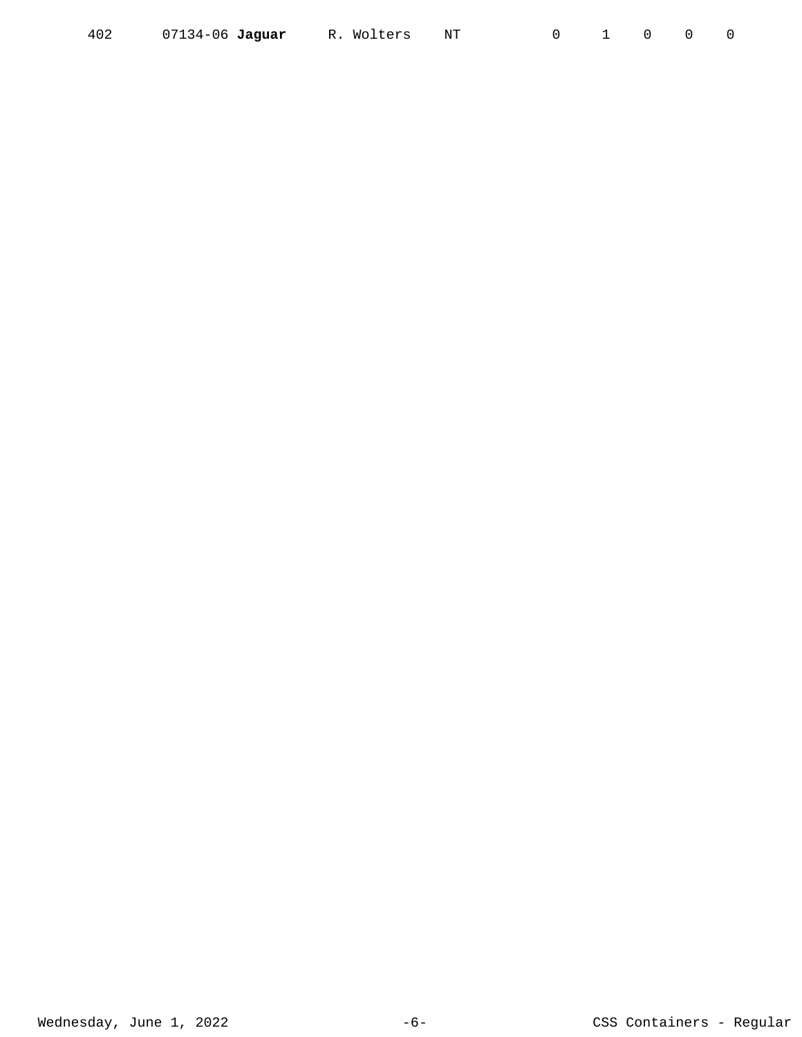| 07134-06 Jaguar | R. Wolters NT |  |  |  |  |  |
|-----------------|---------------|--|--|--|--|--|
|-----------------|---------------|--|--|--|--|--|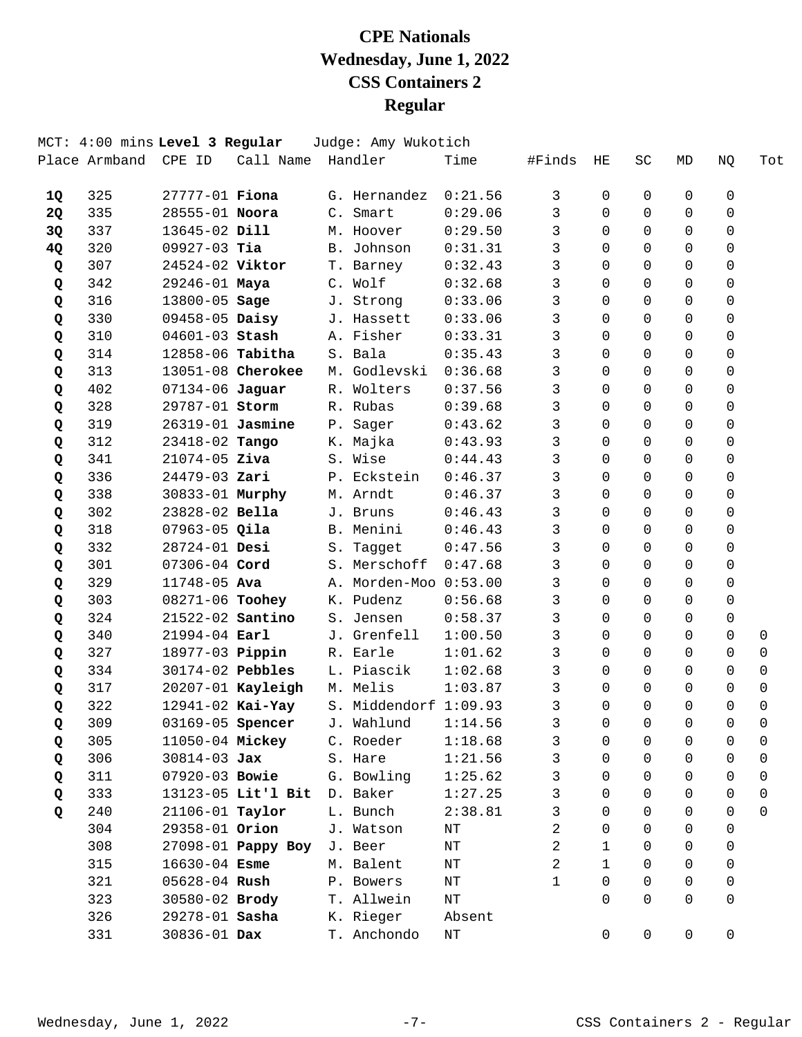|           | MCT: 4:00 mins Level 3 Regular |                         |                    | Judge: Amy Wukotich   |           |        |                |          |                     |             |          |
|-----------|--------------------------------|-------------------------|--------------------|-----------------------|-----------|--------|----------------|----------|---------------------|-------------|----------|
|           | Place Armband                  | CPE ID                  | Call Name          | Handler               | Time      | #Finds | HE             | SC       | MD                  | NQ          | Tot      |
| <b>1Q</b> | 325                            | $27777 - 01$ Fiona      |                    | G. Hernandez          | 0:21.56   | 3      | 0              | 0        | 0                   | 0           |          |
| <b>2Q</b> | 335                            | 28555-01 Noora          |                    | C. Smart              | 0:29.06   | 3      | $\Omega$       | 0        | $\Omega$            | 0           |          |
| 3Q        | 337                            | 13645-02 Dill           |                    | M. Hoover             | 0:29.50   | 3      | $\Omega$       | 0        | $\mathbf 0$         | $\mathbf 0$ |          |
| 4Q        | 320                            | $09927-03$ Tia          |                    | B. Johnson            | 0:31.31   | 3      | $\Omega$       | 0        | $\Omega$            | $\mathbf 0$ |          |
| Q         | 307                            | 24524-02 Viktor         |                    | T. Barney             | 0:32.43   | 3      | $\Omega$       | 0        | $\Omega$            | $\Omega$    |          |
| Q         | 342                            | 29246-01 Maya           |                    | C. Wolf               | 0:32.68   | 3      | $\Omega$       | 0        | $\Omega$            | $\Omega$    |          |
| Q         | 316                            | 13800-05 Sage           |                    | J. Strong             | 0:33.06   | 3      | $\Omega$       | 0        | $\Omega$            | $\mathbf 0$ |          |
| Q         | 330                            | 09458-05 Daisy          |                    | J. Hassett            | 0:33.06   | 3      | $\Omega$       | 0        | $\Omega$            | $\mathbf 0$ |          |
| Q         | 310                            | $04601 - 03$ Stash      |                    | A. Fisher             | 0:33.31   | 3      | 0              | 0        | $\Omega$            | 0           |          |
| Q         | 314                            | 12858-06 Tabitha        |                    | S. Bala               | 0:35.43   | 3      | $\Omega$       | 0        | $\Omega$            | $\Omega$    |          |
| Q         | 313                            |                         | 13051-08 Cherokee  | M. Godlevski          | 0:36.68   | 3      | $\Omega$       | 0        | $\Omega$            | $\mathbf 0$ |          |
| Q         | 402                            | 07134-06 Jaguar         |                    | R. Wolters            | 0:37.56   | 3      | $\Omega$       | 0        | $\Omega$            | $\mathbf 0$ |          |
| Q         | 328                            | 29787-01 Storm          |                    | R. Rubas              | 0:39.68   | 3      | $\Omega$       | 0        | $\Omega$            | $\Omega$    |          |
| Q         | 319                            | $26319 - 01$ Jasmine    |                    | P. Sager              | 0:43.62   | 3      | $\Omega$       | 0        | $\Omega$            | $\Omega$    |          |
| Q         | 312                            | 23418-02 Tango          |                    | K. Majka              | 0:43.93   | 3      | $\Omega$       | 0        | $\Omega$            | $\mathbf 0$ |          |
| Q         | 341                            | $21074 - 05$ Ziva       |                    | S. Wise               | 0:44.43   | 3      | $\Omega$       | 0        | 0                   | $\mathbf 0$ |          |
| Q         | 336                            | $24479 - 03$ Zari       |                    | P. Eckstein           | 0:46.37   | 3      | 0              | 0        | $\Omega$            | $\Omega$    |          |
| Q         | 338                            | 30833-01 Murphy         |                    | M. Arndt              | 0:46.37   | 3      | 0              | 0        | $\Omega$            | 0           |          |
| Q         | 302                            | 23828-02 Bella          |                    | J. Bruns              | 0:46.43   | 3      | $\Omega$       | 0        | $\Omega$            | $\Omega$    |          |
| Q         | 318                            | $07963 - 05$ Qila       |                    | B. Menini             | 0:46.43   | 3      | $\Omega$       | 0        | $\Omega$            | $\mathbf 0$ |          |
| Q         | 332                            | 28724-01 Desi           |                    | S. Tagget             | 0:47.56   | 3      | 0              | 0        | $\Omega$            | $\Omega$    |          |
| Q         | 301                            | 07306-04 Cord           |                    | S. Merschoff          | 0:47.68   | 3      | 0              | 0        | $\Omega$            | $\Omega$    |          |
| Q         | 329                            | 11748-05 Ava            |                    | A. Morden-Moo 0:53.00 |           | 3      | $\Omega$       | 0        | $\Omega$            | $\Omega$    |          |
| Q         | 303                            | 08271-06 Toohey         |                    | K. Pudenz             | 0:56.68   | 3      | 0              | 0        | $\mathbf 0$         | $\mathbf 0$ |          |
| Q         | 324                            | 21522-02 Santino        |                    | S. Jensen             | 0:58.37   | 3      | $\Omega$       | 0        | $\Omega$            | $\mathbf 0$ |          |
| Q         | 340                            | 21994-04 Earl           |                    | J. Grenfell           | 1:00.50   | 3      | 0              | 0        | 0                   | $\Omega$    | 0        |
| Q         | 327                            | 18977-03 Pippin         |                    | R. Earle              | 1:01.62   | 3      | $\Omega$       | 0        | $\Omega$            | $\Omega$    | 0        |
| Q         | 334                            | 30174-02 Pebbles        |                    | L. Piascik            | 1:02.68   | 3      | $\Omega$       | 0        | $\Omega$            | $\mathbf 0$ | 0        |
| Q         | 317                            |                         | 20207-01 Kayleigh  | M. Melis              | 1:03.87   | 3      | $\Omega$       | 0        | $\Omega$            | 0           | 0        |
| Q         | 322                            |                         | 12941-02 Kai-Yay   | S. Middendorf 1:09.93 |           | 3      | $\Omega$       | $\Omega$ | $\Omega$            | $\Omega$    | $\Omega$ |
| Q         | 309                            | 03169-05 <b>Spencer</b> |                    | J. Wahlund            | 1:14.56   | 3      | 0              | 0        | 0                   | 0           | 0        |
| Q         | 305                            | 11050-04 Mickey         |                    | C. Roeder             | 1:18.68   | 3      | 0              | 0        | 0                   | 0           | 0        |
| Q         | 306                            | $30814 - 03$ Jax        |                    | S. Hare               | 1:21.56   | 3      | 0              | 0        | $\Omega$            | 0           | 0        |
| Q         | 311                            | 07920-03 Bowie          |                    | G. Bowling            | 1:25.62   | 3      | 0              | 0        | $\Omega$            | $\Omega$    | 0        |
| Q         | 333                            |                         | 13123-05 Lit'l Bit | D. Baker              | 1:27.25   | 3      | 0              | 0        | $\Omega$            | 0           | 0        |
| Q         | 240                            | 21106-01 Taylor         |                    | L. Bunch              | 2:38.81   | 3      | 0              | 0        | $\Omega$            | $\Omega$    | 0        |
|           | 304                            | 29358-01 Orion          |                    | J. Watson             | ΝT        | 2      | 0              | 0        | $\Omega$            | $\Omega$    |          |
|           | 308                            |                         | 27098-01 Pappy Boy | J. Beer               | NT        | 2      | 1              | 0        | 0                   | 0           |          |
|           | 315                            | 16630-04 Esme           |                    | M. Balent             | ΝT        | 2      | $\mathbf{1}$   | 0        | 0                   | 0           |          |
|           | 321                            | 05628-04 Rush           |                    | P. Bowers             | ΝT        | 1      | 0              | 0        | $\Omega$            | 0           |          |
|           | 323                            | 30580-02 Brody          |                    | T. Allwein            | NT        |        | 0              | $\Omega$ | $\Omega$            | $\mathbf 0$ |          |
|           | 326                            | 29278-01 Sasha          |                    | K. Rieger             | Absent    |        |                |          |                     |             |          |
|           | 331                            | 30836-01 Dax            |                    | T. Anchondo           | $\rm{NT}$ |        | $\overline{0}$ | 0        | $\mathsf{O}\xspace$ | 0           |          |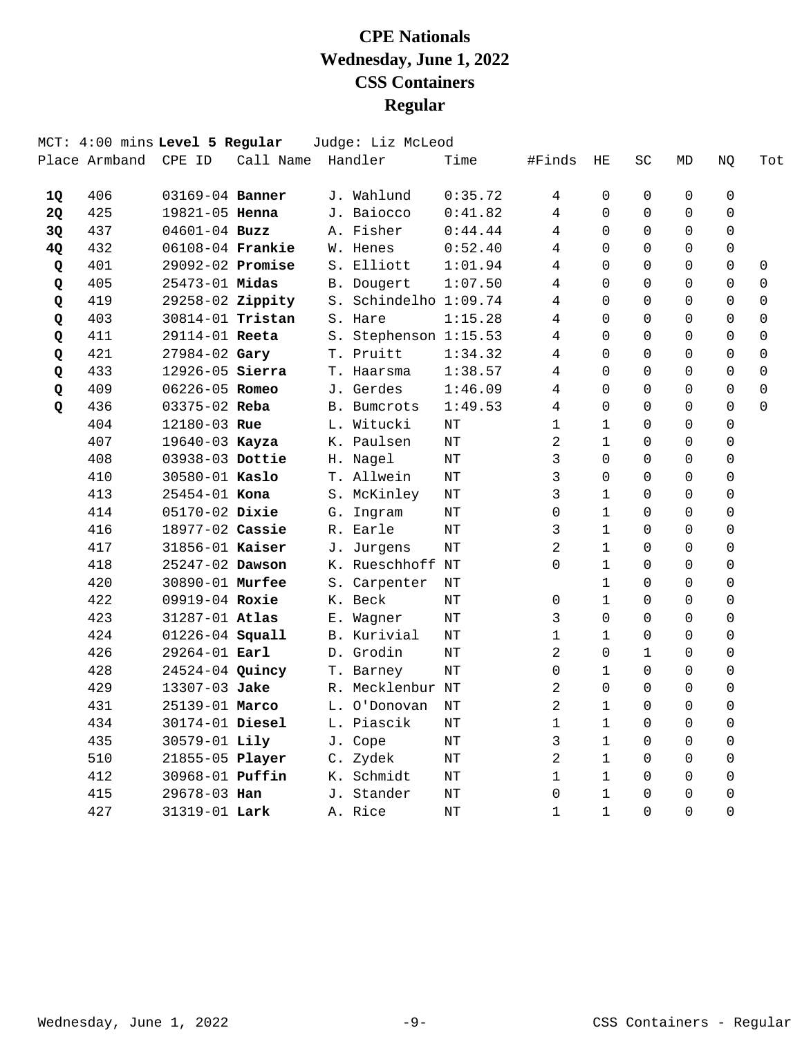|           |               | MCT: 4:00 mins Level 5 Regular |           |    | Judge: Liz McLeod     |         |                |              |              |             |                |             |
|-----------|---------------|--------------------------------|-----------|----|-----------------------|---------|----------------|--------------|--------------|-------------|----------------|-------------|
|           | Place Armband | CPE ID                         | Call Name |    | Handler               | Time    | #Finds         | ΗE           | SC           | MD          | NQ             | Tot         |
| 1Q        | 406           | 03169-04 Banner                |           |    | J. Wahlund            | 0:35.72 | 4              | 0            | 0            | $\mathbf 0$ | $\mathbf 0$    |             |
| <b>2Q</b> | 425           | 19821-05 Henna                 |           |    | J. Baiocco            | 0:41.82 | 4              | $\Omega$     | $\Omega$     | $\mathbf 0$ | $\mathbf 0$    |             |
| 3Q        | 437           | $04601 - 04$ Buzz              |           |    | A. Fisher             | 0:44.44 | 4              | $\Omega$     | $\Omega$     | $\mathbf 0$ | 0              |             |
| 4Q        | 432           | 06108-04 Frankie               |           |    | W. Henes              | 0:52.40 | 4              | $\Omega$     | $\Omega$     | $\Omega$    | $\Omega$       |             |
| Q         | 401           | 29092-02 Promise               |           |    | S. Elliott            | 1:01.94 | 4              | $\Omega$     | $\Omega$     | $\Omega$    | $\Omega$       | $\mathbf 0$ |
| Q         | 405           | $25473 - 01$ Midas             |           |    | B. Dougert            | 1:07.50 | 4              | $\Omega$     | $\Omega$     | $\Omega$    | $\Omega$       | $\mathbf 0$ |
| Q         | 419           | 29258-02 Zippity               |           |    | S. Schindelho 1:09.74 |         | 4              | $\Omega$     | $\Omega$     | $\Omega$    | $\Omega$       | $\mathbf 0$ |
| Q         | 403           | 30814-01 Tristan               |           |    | S. Hare               | 1:15.28 | 4              | $\Omega$     | $\Omega$     | $\Omega$    | $\Omega$       | $\mathbf 0$ |
| Q         | 411           | 29114-01 Reeta                 |           |    | S. Stephenson 1:15.53 |         | 4              | $\Omega$     | $\Omega$     | $\Omega$    | $\Omega$       | $\mathbf 0$ |
| Q         | 421           | 27984-02 Gary                  |           |    | T. Pruitt             | 1:34.32 | 4              | $\Omega$     | $\Omega$     | $\Omega$    | $\Omega$       | $\mathbf 0$ |
| Q         | 433           | 12926-05 Sierra                |           |    | T. Haarsma            | 1:38.57 | 4              | $\Omega$     | $\Omega$     | $\Omega$    | $\Omega$       | $\mathbf 0$ |
| Q         | 409           | 06226-05 Romeo                 |           |    | J. Gerdes             | 1:46.09 | 4              | $\Omega$     | $\Omega$     | $\Omega$    | $\Omega$       | $\mathbf 0$ |
| Q         | 436           | 03375-02 Reba                  |           |    | <b>B.</b> Bumcrots    | 1:49.53 | 4              | $\Omega$     | $\Omega$     | $\Omega$    | $\Omega$       | $\Omega$    |
|           | 404           | 12180-03 Rue                   |           |    | L. Witucki            | NΤ      | $\mathbf{1}$   | $\mathbf{1}$ | $\Omega$     | $\Omega$    | $\Omega$       |             |
|           | 407           | 19640-03 Kayza                 |           |    | K. Paulsen            | NT      | $\overline{2}$ | $\mathbf{1}$ | $\Omega$     | $\Omega$    | $\Omega$       |             |
|           | 408           | 03938-03 Dottie                |           |    | H. Nagel              | NΤ      | 3              | $\Omega$     | $\Omega$     | $\Omega$    | $\Omega$       |             |
|           | 410           | 30580-01 Kaslo                 |           |    | T. Allwein            | NΤ      | 3              | $\Omega$     | $\Omega$     | $\Omega$    | $\mathbf 0$    |             |
|           | 413           | 25454-01 Kona                  |           |    | S. McKinley           | NΤ      | 3              | $\mathbf{1}$ | $\Omega$     | $\Omega$    | $\mathbf 0$    |             |
|           | 414           | 05170-02 Dixie                 |           |    | G. Ingram             | NT      | 0              | $\mathbf{1}$ | $\Omega$     | $\Omega$    | $\mathbf 0$    |             |
|           | 416           | 18977-02 Cassie                |           |    | R. Earle              | NT      | 3              | $\mathbf{1}$ | 0            | $\mathbf 0$ | $\mathbf 0$    |             |
|           | 417           | 31856-01 Kaiser                |           |    | J. Jurgens            | NΤ      | 2              | $\mathbf 1$  | $\Omega$     | $\Omega$    | $\mathbf 0$    |             |
|           | 418           | 25247-02 Dawson                |           |    | K. Rueschhoff NT      |         | 0              | $\mathbf{1}$ | $\Omega$     | $\Omega$    | $\mathbf 0$    |             |
|           | 420           | 30890-01 Murfee                |           |    | S. Carpenter          | NT      |                | $\mathbf 1$  | $\Omega$     | $\Omega$    | 0              |             |
|           | 422           | 09919-04 Roxie                 |           |    | K. Beck               | NΤ      | 0              | $\mathbf{1}$ | $\Omega$     | $\Omega$    | $\Omega$       |             |
|           | 423           | 31287-01 Atlas                 |           | Е. | Wagner                | NΤ      | 3              | $\Omega$     | $\Omega$     | $\Omega$    | $\Omega$       |             |
|           | 424           | 01226-04 Squall                |           |    | B. Kurivial           | NΤ      | 1              | $\mathbf{1}$ | $\Omega$     | $\Omega$    | $\Omega$       |             |
|           | 426           | 29264-01 Earl                  |           |    | D. Grodin             | NΤ      | $\overline{2}$ | $\Omega$     | $\mathbf{1}$ | $\Omega$    | $\Omega$       |             |
|           | 428           | 24524-04 Quincy                |           |    | T. Barney             | NΤ      | 0              | $\mathbf{1}$ | $\Omega$     | $\Omega$    | $\Omega$       |             |
|           | 429           | 13307-03 Jake                  |           |    | R. Mecklenbur NT      |         | 2              | $\Omega$     | $\Omega$     | $\Omega$    | $\Omega$       |             |
|           | 431           | 25139-01 Marco                 |           |    | L. O'Donovan          | NT      | $\overline{2}$ | $\mathbf{1}$ | $\Omega$     | $\Omega$    | $\mathbf 0$    |             |
|           | 434           | 30174-01 Diesel                |           |    | L. Piascik            | NT      | 1              | $\mathbf{1}$ | $\Omega$     | $\Omega$    | $\mathbf 0$    |             |
|           | 435           | 30579-01 Lily                  |           |    | J. Cope               | NΤ      | 3              | $\mathbf 1$  | $\Omega$     | $\Omega$    | $\mathbf 0$    |             |
|           | 510           | 21855-05 Player                |           |    | C. Zydek              | NΤ      | 2              | $\mathbf{1}$ | $\Omega$     | $\mathbf 0$ | $\mathbf 0$    |             |
|           | 412           | 30968-01 Puffin                |           |    | K. Schmidt            | NΤ      | 1              | $\mathbf{1}$ | $\Omega$     | $\Omega$    | $\Omega$       |             |
|           | 415           | 29678-03 Han                   |           |    | J. Stander            | NΤ      | 0              | $\mathbf{1}$ | $\Omega$     | $\Omega$    | $\mathbf 0$    |             |
|           | 427           | 31319-01 Lark                  |           |    | A. Rice               | NT      | $\mathbf{1}$   | $\mathbf{1}$ | $\Omega$     | $\Omega$    | $\overline{0}$ |             |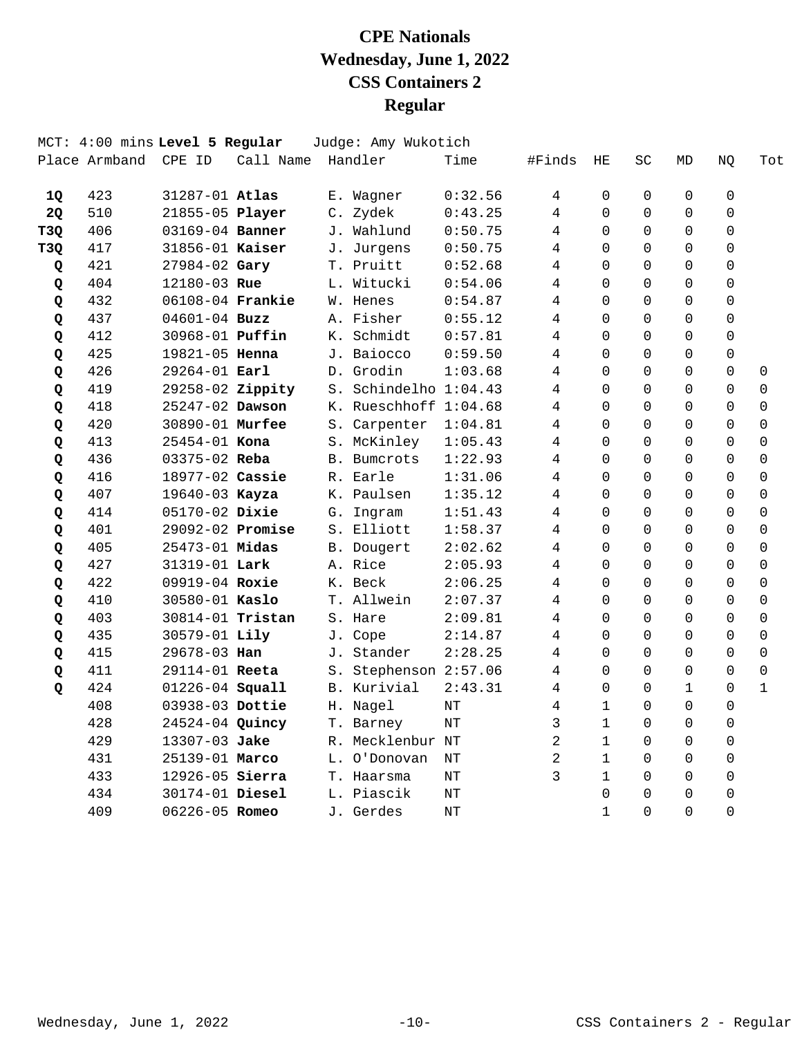|                 |               | MCT: 4:00 mins Level 5 Regular |           | Judge: Amy Wukotich   |           |                |                |                     |                |             |                     |
|-----------------|---------------|--------------------------------|-----------|-----------------------|-----------|----------------|----------------|---------------------|----------------|-------------|---------------------|
|                 | Place Armband | CPE ID                         | Call Name | Handler               | Time      | #Finds         | $\rm HE$       | $\operatorname{SC}$ | MD             | NQ          | Tot                 |
| 1Q              | 423           | 31287-01 Atlas                 |           | E. Wagner             | 0:32.56   | 4              | 0              | $\Omega$            | $\mathbf 0$    | $\mathbf 0$ |                     |
| 2Q              | 510           | 21855-05 Player                |           | C. Zydek              | 0:43.25   | 4              | $\Omega$       | $\Omega$            | $\Omega$       | 0           |                     |
| T <sub>3Q</sub> | 406           | 03169-04 Banner                |           | J. Wahlund            | 0:50.75   | 4              | $\Omega$       | $\Omega$            | $\Omega$       | 0           |                     |
| T <sub>3Q</sub> | 417           | 31856-01 Kaiser                |           | J. Jurgens            | 0:50.75   | 4              | 0              | $\Omega$            | 0              | 0           |                     |
| Q               | 421           | 27984-02 Gary                  |           | T. Pruitt             | 0:52.68   | $\overline{4}$ | $\Omega$       | $\Omega$            | $\Omega$       | 0           |                     |
| Q               | 404           | 12180-03 Rue                   |           | L. Witucki            | 0:54.06   | 4              | $\Omega$       | $\Omega$            | $\Omega$       | 0           |                     |
| Q               | 432           | 06108-04 Frankie               |           | W. Henes              | 0:54.87   | 4              | $\Omega$       | $\Omega$            | $\Omega$       | 0           |                     |
| Q               | 437           | $04601 - 04$ Buzz              |           | A. Fisher             | 0:55.12   | 4              | $\Omega$       | $\Omega$            | $\Omega$       | 0           |                     |
| Q               | 412           | 30968-01 <b>Puffin</b>         |           | K. Schmidt            | 0:57.81   | 4              | $\Omega$       | $\Omega$            | $\Omega$       | 0           |                     |
| Q               | 425           | 19821-05 Henna                 |           | J. Baiocco            | 0:59.50   | 4              | $\Omega$       | $\Omega$            | $\Omega$       | $\Omega$    |                     |
| Q               | 426           | 29264-01 Earl                  |           | D. Grodin             | 1:03.68   | 4              | $\Omega$       | $\Omega$            | $\Omega$       | $\Omega$    | $\mathbf 0$         |
| Q               | 419           | 29258-02 Zippity               |           | S. Schindelho 1:04.43 |           | 4              | $\Omega$       | $\Omega$            | $\Omega$       | 0           | 0                   |
| Q               | 418           | 25247-02 Dawson                |           | K. Rueschhoff 1:04.68 |           | 4              | $\Omega$       | $\Omega$            | $\Omega$       | 0           | $\mathbf 0$         |
| Q               | 420           | 30890-01 Murfee                |           | S. Carpenter          | 1:04.81   | 4              | $\Omega$       | $\Omega$            | $\Omega$       | 0           | $\Omega$            |
| Q               | 413           | $25454 - 01$ Kona              |           | S. McKinley           | 1:05.43   | 4              | $\Omega$       | $\Omega$            | $\Omega$       | 0           | $\Omega$            |
| Q               | 436           | 03375-02 Reba                  |           | B. Bumcrots           | 1:22.93   | 4              | $\Omega$       | $\Omega$            | $\Omega$       | 0           | $\mathbf 0$         |
| Q               | 416           | 18977-02 Cassie                |           | R. Earle              | 1:31.06   | $\overline{4}$ | $\Omega$       | $\Omega$            | $\Omega$       | $\Omega$    | $\Omega$            |
| Q               | 407           | 19640-03 Kayza                 |           | K. Paulsen            | 1:35.12   | $\overline{4}$ | $\Omega$       | $\Omega$            | $\Omega$       | $\Omega$    | $\Omega$            |
| Q               | 414           | 05170-02 Dixie                 |           | G. Ingram             | 1:51.43   | 4              | $\Omega$       | $\Omega$            | $\Omega$       | 0           | $\mathsf{O}\xspace$ |
| Q               | 401           | 29092-02 Promise               |           | S. Elliott            | 1:58.37   | 4              | $\Omega$       | $\Omega$            | $\Omega$       | 0           | $\mathbf 0$         |
| Q               | 405           | 25473-01 Midas                 |           | B. Dougert            | 2:02.62   | 4              | $\Omega$       | $\Omega$            | $\Omega$       | 0           | $\mathbf 0$         |
| Q               | 427           | 31319-01 Lark                  |           | A. Rice               | 2:05.93   | 4              | $\Omega$       | $\Omega$            | $\Omega$       | $\Omega$    | $\Omega$            |
| Q               | 422           | 09919-04 Roxie                 |           | K. Beck               | 2:06.25   | 4              | $\Omega$       | $\Omega$            | $\Omega$       | $\Omega$    | $\Omega$            |
| Q               | 410           | 30580-01 Kaslo                 |           | T. Allwein            | 2:07.37   | 4              | $\Omega$       | $\Omega$            | $\Omega$       | $\Omega$    | $\Omega$            |
| Q               | 403           | 30814-01 Tristan               |           | S. Hare               | 2:09.81   | 4              | $\Omega$       | $\Omega$            | $\Omega$       | $\Omega$    | $\mathbf 0$         |
| Q               | 435           | 30579-01 Lily                  |           | J. Cope               | 2:14.87   | 4              | $\Omega$       | $\Omega$            | $\Omega$       | $\Omega$    | $\mathbf 0$         |
| Q               | 415           | 29678-03 Han                   |           | J. Stander            | 2:28.25   | 4              | $\Omega$       | $\Omega$            | $\Omega$       | 0           | $\mathbf 0$         |
| Q               | 411           | 29114-01 Reeta                 |           | S. Stephenson 2:57.06 |           | 4              | $\Omega$       | $\Omega$            | $\Omega$       | 0           | $\mathbf 0$         |
| Q               | 424           | 01226-04 Squall                |           | B. Kurivial           | 2:43.31   | 4              | $\Omega$       | $\Omega$            | $\mathbf{1}$   | 0           | $\mathbf{1}$        |
|                 | 408           | 03938-03 Dottie                |           | H. Nagel              | $\rm{NT}$ | 4              | $\mathbf{1}$   | $\Omega$            | $\Omega$       | 0           |                     |
|                 | 428           | 24524-04 Quincy                |           | T. Barney             | NΤ        | 3              | $\mathbf{1}$   | $\Omega$            | $\Omega$       | 0           |                     |
|                 | 429           | 13307-03 Jake                  |           | R. Mecklenbur NT      |           | $\overline{2}$ | $\mathbf{1}$   | $\Omega$            | $\Omega$       | $\Omega$    |                     |
|                 | 431           | 25139-01 Marco                 |           | L. O'Donovan          | NT        | $\overline{2}$ | $\mathbf{1}$   | $\Omega$            | $\Omega$       | $\Omega$    |                     |
|                 | 433           | 12926-05 Sierra                |           | T. Haarsma            | NΤ        | 3              | $\mathbf{1}$   | $\Omega$            | $\Omega$       | $\mathbf 0$ |                     |
|                 | 434           | 30174-01 Diesel                |           | L. Piascik            | NT        |                | $\overline{0}$ | $\Omega$            | $\overline{0}$ | 0           |                     |
|                 | 409           | 06226-05 Romeo                 |           | J. Gerdes             | $\rm{NT}$ |                | $\mathbf{1}$   | $\Omega$            | $\Omega$       | 0           |                     |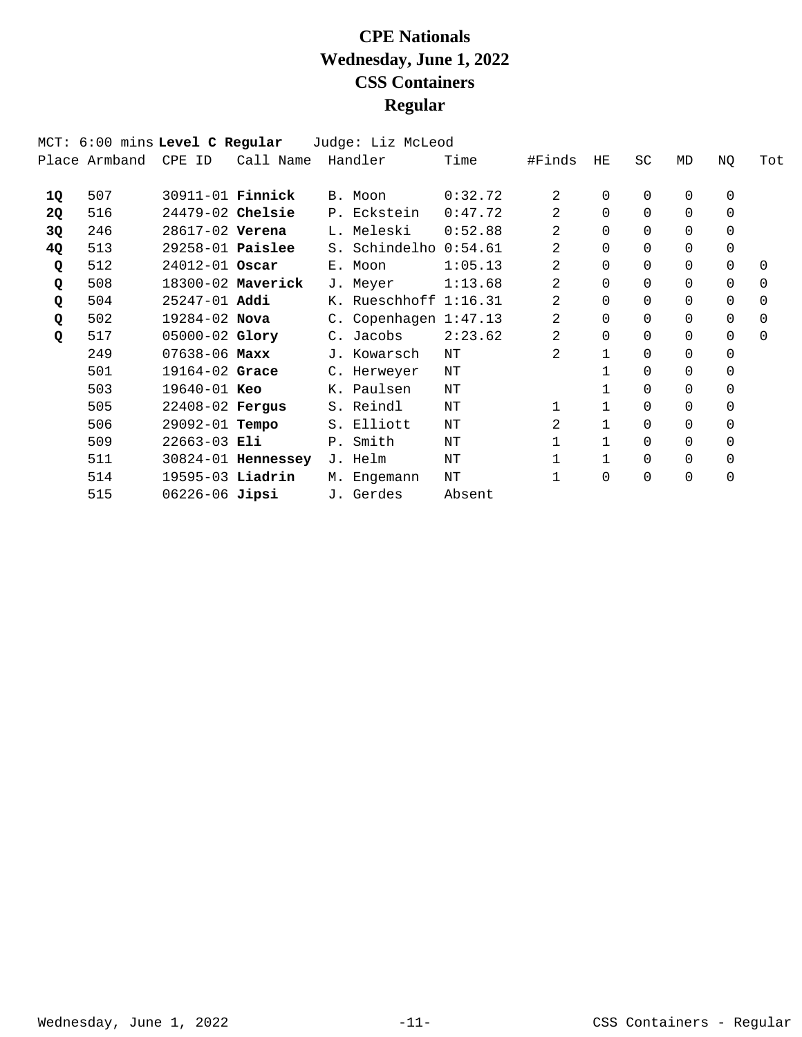|    | MCT: 6:00 mins Level C Regular |                         |                    | Judge: Liz McLeod     |         |                |              |           |          |             |             |
|----|--------------------------------|-------------------------|--------------------|-----------------------|---------|----------------|--------------|-----------|----------|-------------|-------------|
|    | Place Armband                  | CPE ID                  | Call Name          | Handler               | Time    | #Finds         | HE           | <b>SC</b> | MD       | NQ          | Tot         |
| 1Q | 507                            | 30911-01 <b>Finnick</b> |                    | B. Moon               | 0:32.72 | $\mathfrak{D}$ | $\Omega$     | $\Omega$  | 0        | $\mathbf 0$ |             |
| 2Q | 516                            | $24479-02$ Chelsie      |                    | P. Eckstein           | 0:47.72 | 2              | $\Omega$     | 0         | 0        | $\Omega$    |             |
| 3Q | 246                            | 28617-02 Verena         |                    | L. Meleski            | 0:52.88 | 2              | $\Omega$     | 0         | $\Omega$ | $\Omega$    |             |
| 4Q | 513                            | $29258-01$ Paislee      |                    | S. Schindelho         | 0:54.61 | 2              | $\Omega$     | 0         | 0        | 0           |             |
| Q  | 512                            | $24012 - 01$ Oscar      |                    | E. Moon               | 1:05.13 | 2              | $\Omega$     | 0         | 0        | $\Omega$    | $\Omega$    |
| Q  | 508                            |                         | 18300-02 Maverick  | J. Meyer              | 1:13.68 | 2              | $\Omega$     | 0         | 0        | 0           | $\mathbf 0$ |
| Q  | 504                            | $25247 - 01$ Addi       |                    | K. Rueschhoff 1:16.31 |         | 2              | $\Omega$     | 0         | 0        | $\Omega$    | $\Omega$    |
| Q  | 502                            | $19284 - 02$ Nova       |                    | C. Copenhagen 1:47.13 |         | 2              | $\Omega$     | 0         | $\Omega$ | $\Omega$    | $\Omega$    |
| Q  | 517                            | $05000 - 02$ Glory      |                    | C. Jacobs             | 2:23.62 | 2              | $\Omega$     | 0         | 0        | $\Omega$    | $\Omega$    |
|    | 249                            | $07638 - 06$ Maxx       |                    | J. Kowarsch           | NΤ      | 2              | $\mathbf{1}$ | 0         | 0        | $\Omega$    |             |
|    | 501                            | $19164 - 02$ Grace      |                    | C. Herweyer           | ΝT      |                |              | 0         | 0        | 0           |             |
|    | 503                            | $19640 - 01$ Keo        |                    | K. Paulsen            | ΝT      |                |              | 0         | 0        | $\Omega$    |             |
|    | 505                            | 22408-02 Fergus         |                    | S. Reindl             | NΤ      |                | $\mathbf{1}$ | 0         | 0        | $\Omega$    |             |
|    | 506                            | 29092-01 <b>Tempo</b>   |                    | S. Elliott            | NΤ      | 2              | $\mathbf{1}$ | 0         | 0        | $\Omega$    |             |
|    | 509                            | $22663-03$ Eli          |                    | P. Smith              | ΝT      |                | $\mathbf{1}$ | 0         | 0        | $\Omega$    |             |
|    | 511                            |                         | 30824-01 Hennessey | J. Helm               | NT      |                | $\mathbf{1}$ | $\Omega$  | 0        | 0           |             |
|    | 514                            | 19595-03 Liadrin        |                    | M. Engemann           | ΝT      |                | $\Omega$     | 0         | 0        | 0           |             |
|    | 515                            | $06226 - 06$ Jipsi      |                    | J. Gerdes             | Absent  |                |              |           |          |             |             |
|    |                                |                         |                    |                       |         |                |              |           |          |             |             |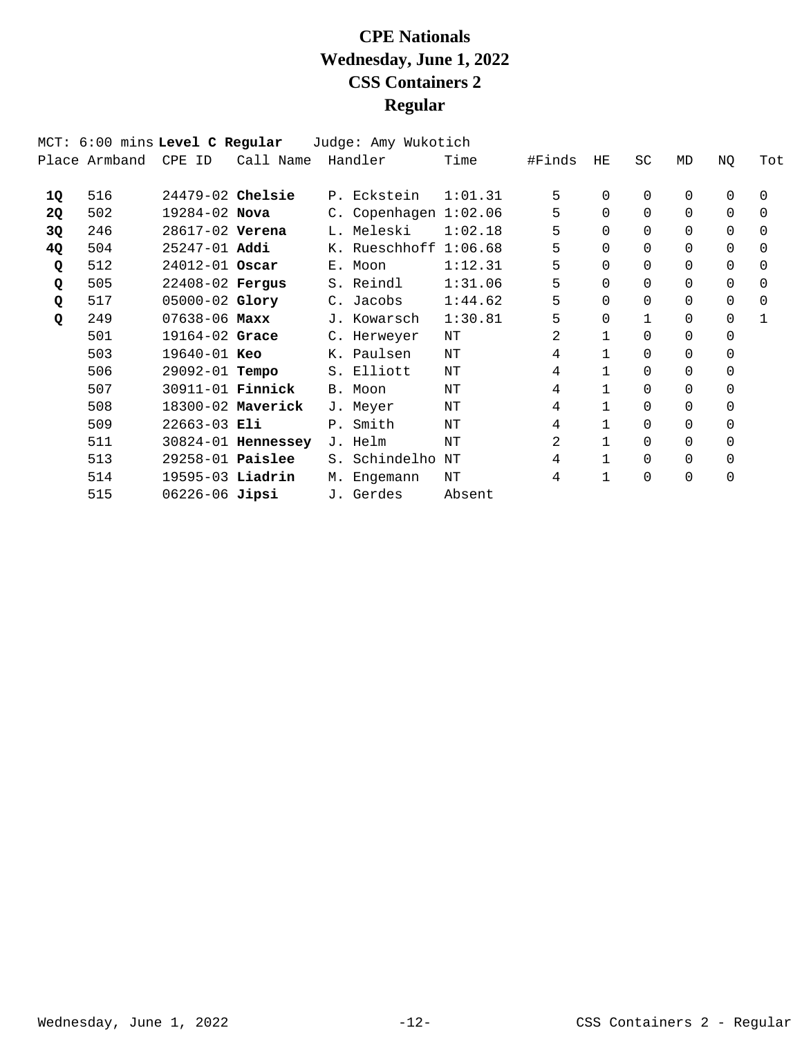|    | MCT: 6:00 mins Level C Regular |                         |                        | Judge: Amy Wukotich     |         |        |              |           |          |          |              |
|----|--------------------------------|-------------------------|------------------------|-------------------------|---------|--------|--------------|-----------|----------|----------|--------------|
|    | Place Armband                  | CPE ID                  | Call Name              | Handler                 | Time    | #Finds | HE           | <b>SC</b> | MD       | NQ       | Tot          |
| 1Q | 516                            | $24479-02$ Chelsie      |                        | P. Eckstein             | 1:01.31 | 5      | $\Omega$     | 0         | 0        | 0        | $\Omega$     |
| 2Q | 502                            | 19284-02 Nova           |                        | C. Copenhagen 1:02.06   |         | 5      | $\Omega$     | 0         | $\Omega$ | $\Omega$ | 0            |
| 3Q | 246                            | 28617-02 Verena         |                        | L. Meleski              | 1:02.18 | 5      | $\Omega$     | 0         | $\Omega$ | $\Omega$ | $\Omega$     |
| 4Q | 504                            | $25247 - 01$ Addi       |                        | K. Rueschhoff $1:06.68$ |         | 5      | $\Omega$     | 0         | 0        | $\Omega$ | $\Omega$     |
| Q  | 512                            | $24012 - 01$ Oscar      |                        | E. Moon                 | 1:12.31 | 5      | $\Omega$     | 0         | 0        | $\Omega$ | $\Omega$     |
| Q  | 505                            | 22408-02 Fergus         |                        | S. Reindl               | 1:31.06 | 5      | $\Omega$     | $\Omega$  | 0        | 0        | 0            |
| Q  | 517                            | $05000 - 02$ Glory      |                        | C. Jacobs               | 1:44.62 | 5      | $\Omega$     | 0         | 0        | 0        | $\Omega$     |
| Q  | 249                            | $07638 - 06$ Maxx       |                        | J. Kowarsch             | 1:30.81 | 5      | $\Omega$     |           | $\Omega$ | $\Omega$ | $\mathbf{1}$ |
|    | 501                            | $19164 - 02$ Grace      |                        | C. Herweyer             | ΝT      | 2      | $\mathbf{1}$ | $\Omega$  | 0        | $\Omega$ |              |
|    | 503                            | 19640-01 Keo            |                        | K. Paulsen              | ΝT      | 4      |              | 0         | 0        | $\Omega$ |              |
|    | 506                            | 29092-01 <b>Tempo</b>   |                        | S. Elliott              | ΝT      | 4      | $\mathbf{1}$ | 0         | 0        | 0        |              |
|    | 507                            | 30911-01 <b>Finnick</b> |                        | B. Moon                 | ΝT      | 4      | $\mathbf{1}$ | 0         | 0        | 0        |              |
|    | 508                            |                         | 18300-02 Maverick      | J. Meyer                | ΝT      | 4      | $\mathbf{1}$ | 0         | 0        | $\Omega$ |              |
|    | 509                            | $22663 - 03$ Eli        |                        | P. Smith                | ΝT      | 4      | 1            | 0         | 0        | 0        |              |
|    | 511                            |                         | $30824 - 01$ Hennessey | J. Helm                 | NΤ      | 2      |              | 0         | 0        | $\Omega$ |              |
|    | 513                            | $29258-01$ Paislee      |                        | S. Schindelho           | NΤ      | 4      | $\mathbf{1}$ | 0         | 0        | 0        |              |
|    | 514                            | $19595-03$ Liadrin      |                        | M. Engemann             | NΤ      | 4      | 1            | 0         | 0        | 0        |              |
|    | 515                            | $06226 - 06$ Jipsi      |                        | J. Gerdes               | Absent  |        |              |           |          |          |              |
|    |                                |                         |                        |                         |         |        |              |           |          |          |              |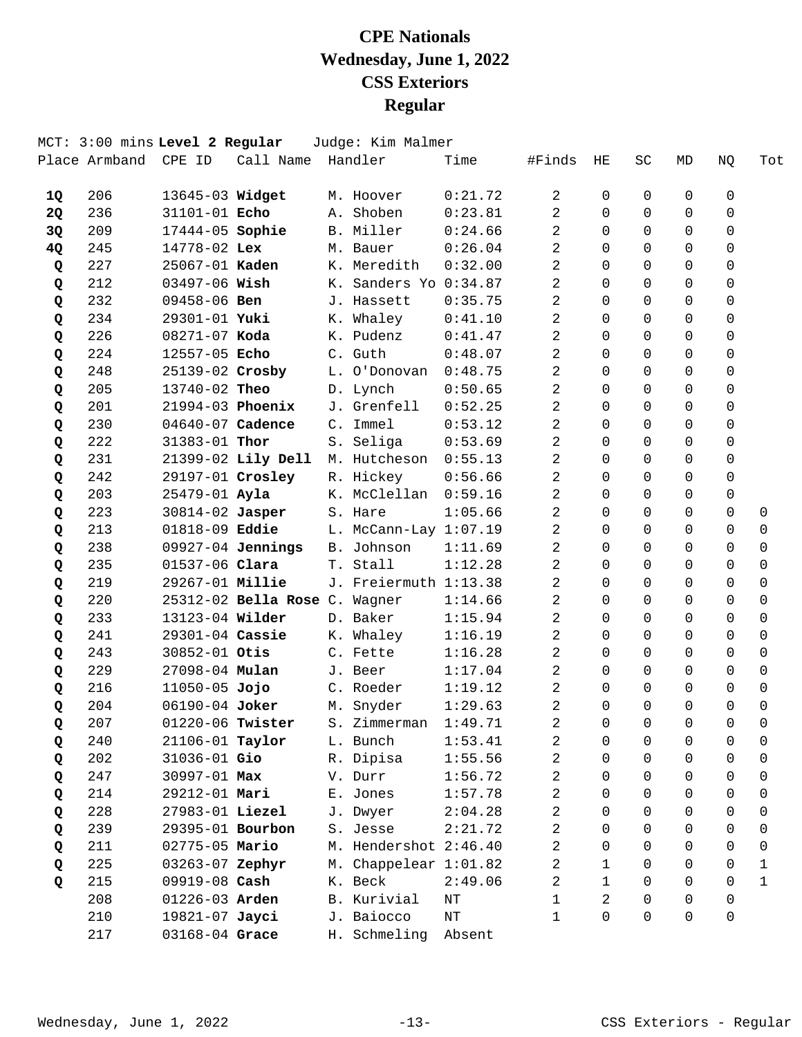|           |     | MCT: 3:00 mins Level 2 Regular |                                             | Judge: Kim Malmer         |           |                |              |                |                |                |             |
|-----------|-----|--------------------------------|---------------------------------------------|---------------------------|-----------|----------------|--------------|----------------|----------------|----------------|-------------|
|           |     |                                | Place Armband CPE ID Call Name Handler      |                           | Time      | #Finds         | HЕ           | SC             | MD             | NQ             | Tot         |
| <b>1Q</b> | 206 | 13645-03 Widget                |                                             | M. Hoover                 | 0:21.72   | $\overline{2}$ | $\Omega$     | 0              | 0              | 0              |             |
| 2Q        | 236 | 31101-01 Echo                  |                                             | A. Shoben                 | 0:23.81   | $\overline{2}$ | $\Omega$     | $\Omega$       | $\Omega$       | $\Omega$       |             |
| 3Q        | 209 | 17444-05 Sophie                |                                             | B. Miller                 | 0:24.66   | 2              | $\Omega$     | $\Omega$       | $\Omega$       | 0              |             |
| 4Q        | 245 | $14778 - 02$ Lex               |                                             | M. Bauer                  | 0:26.04   | 2              | $\mathbf 0$  | $\Omega$       | $\Omega$       | 0              |             |
| Q         | 227 | 25067-01 Kaden                 |                                             | K. Meredith               | 0:32.00   | 2              | $\Omega$     | $\Omega$       | $\Omega$       | 0              |             |
| Q         | 212 | 03497-06 Wish                  |                                             | K. Sanders Yo 0:34.87     |           | 2              | $\Omega$     | $\Omega$       | $\Omega$       | 0              |             |
| Q         | 232 | 09458-06 Ben                   |                                             | J. Hassett                | 0:35.75   | 2              | $\Omega$     | $\Omega$       | $\Omega$       | $\mathbf 0$    |             |
| Q         | 234 | 29301-01 Yuki                  |                                             | K. Whaley                 | 0:41.10   | 2              | $\mathsf{O}$ | $\Omega$       | $\Omega$       | $\mathbf 0$    |             |
| Q         | 226 | 08271-07 Koda                  |                                             | K. Pudenz                 | 0:41.47   | $\overline{a}$ | $\Omega$     | $\Omega$       | $\Omega$       | 0              |             |
| Q         | 224 | 12557-05 Echo                  |                                             | C. Guth                   | 0:48.07   | $\overline{a}$ | $\Omega$     | $\Omega$       | $\Omega$       | $\Omega$       |             |
| Q         | 248 | 25139-02 Crosby                |                                             | L. O'Donovan              | 0:48.75   | 2              | $\Omega$     | $\Omega$       | $\Omega$       | $\Omega$       |             |
| Q         | 205 | 13740-02 Theo                  |                                             | D. Lynch                  | 0:50.65   | 2              | 0            | $\Omega$       | $\Omega$       | 0              |             |
| Q         | 201 | 21994-03 Phoenix               |                                             | J. Grenfell               | 0:52.25   | 2              | $\Omega$     | $\Omega$       | $\Omega$       | 0              |             |
| Q         | 230 | 04640-07 Cadence               |                                             | C. Immel                  | 0:53.12   | 2              | $\Omega$     | $\Omega$       | $\Omega$       | 0              |             |
| Q         | 222 | 31383-01 Thor                  |                                             | S. Seliga                 | 0:53.69   | 2              | $\Omega$     | $\Omega$       | $\Omega$       | $\Omega$       |             |
| Q         | 231 |                                | 21399-02 Lily Dell M. Hutcheson             |                           | 0:55.13   | 2              | $\mathbf 0$  | $\Omega$       | $\Omega$       | $\mathbf 0$    |             |
| Q         | 242 |                                | 29197-01 Crosley                            | R. Hickey                 | 0:56.66   | 2              | $\Omega$     | $\Omega$       | $\Omega$       | $\mathbf 0$    |             |
| Q         | 203 | 25479-01 Ayla                  |                                             | K. McClellan              | 0:59.16   | $\overline{a}$ | $\Omega$     | $\Omega$       | $\Omega$       | 0              |             |
| Q         | 223 |                                | 30814-02 Jasper                             | S. Hare                   | 1:05.66   | 2              | $\Omega$     | $\Omega$       | $\Omega$       | $\Omega$       | 0           |
| Q         | 213 | 01818-09 Eddie                 |                                             | $L.$ McCann-Lay $1:07.19$ |           | 2              | 0            | $\Omega$       | $\Omega$       | $\Omega$       | $\mathbf 0$ |
| Q         | 238 |                                | 09927-04 Jennings                           | B. Johnson                | 1:11.69   | 2              | $\Omega$     | $\Omega$       | $\Omega$       | $\mathbf 0$    | $\mathbf 0$ |
| Q         | 235 | 01537-06 Clara                 |                                             | T. Stall                  | 1:12.28   | 2              | $\Omega$     | $\Omega$       | $\Omega$       | $\Omega$       | $\Omega$    |
| Q         | 219 | 29267-01 Millie                |                                             | J. Freiermuth 1:13.38     |           | 2              | $\Omega$     | $\Omega$       | $\Omega$       | 0              | 0           |
| Q         | 220 |                                | 25312-02 Bella Rose C. Wagner               |                           | 1:14.66   | 2              | $\Omega$     | $\Omega$       | $\Omega$       | $\Omega$       | $\Omega$    |
| Q         | 233 | 13123-04 Wilder                |                                             | D. Baker                  | 1:15.94   | 2              | $\mathsf{O}$ | $\Omega$       | $\Omega$       | $\Omega$       | $\mathbf 0$ |
| Q         | 241 | 29301-04 Cassie                |                                             | K. Whaley                 | 1:16.19   | $\overline{2}$ | $\Omega$     | $\Omega$       | $\Omega$       | $\Omega$       | $\Omega$    |
| Q         | 243 | 30852-01 Otis                  |                                             | C. Fette                  | 1:16.28   | 2              | $\Omega$     | $\Omega$       | $\Omega$       | $\Omega$       | 0           |
| Q         | 229 | 27098-04 Mulan                 |                                             | J. Beer                   | 1:17.04   | 2              | 0            | $\Omega$       | $\Omega$       | $\Omega$       | $\mathbf 0$ |
| Q         | 216 | $11050-05$ Jojo                |                                             | C. Roeder                 | 1:19.12   | 2              | $\mathbf 0$  | $\Omega$       | $\Omega$       | $\mathbf 0$    | $\mathbf 0$ |
| Q         | 204 | 06190-04 Joker                 |                                             | M. Snyder                 | 1:29.63   | 2              | $\Omega$     | $\Omega$       | $\Omega$       | $\Omega$       | $\mathbf 0$ |
| Q         | 207 |                                | $01220 - 06$ Twister S. Zimmerman $1:49.71$ |                           |           | 2              | 0            | $\overline{0}$ | $\overline{0}$ | $\overline{0}$ | 0           |
| Q         | 240 | 21106-01 Taylor                |                                             | L. Bunch                  | 1:53.41   | 2              | 0            | 0              | 0              | 0              | 0           |
| Q         | 202 | 31036-01 Gio                   |                                             | R. Dipisa                 | 1:55.56   | 2              | 0            | $\mathbf 0$    | 0              | $\mathbf 0$    | 0           |
| Q         | 247 | 30997-01 Max                   |                                             | V. Durr                   | 1:56.72   | 2              | $\Omega$     | $\Omega$       | $\Omega$       | 0              | 0           |
| Q         | 214 | 29212-01 Mari                  |                                             | E. Jones                  | 1:57.78   | 2              | 0            | $\Omega$       | 0              | 0              | 0           |
| Q         | 228 | 27983-01 Liezel                |                                             | J. Dwyer                  | 2:04.28   | 2              | $\Omega$     | $\Omega$       | 0              | 0              | 0           |
| Q         | 239 | 29395-01 Bourbon               |                                             | S. Jesse                  | 2:21.72   | 2              | 0            | $\Omega$       | 0              | $\mathbf 0$    | 0           |
| Q         | 211 | 02775-05 Mario                 |                                             | M. Hendershot 2:46.40     |           | 2              | $\Omega$     | $\Omega$       | $\Omega$       | $\Omega$       | 0           |
| Q         | 225 | 03263-07 Zephyr                |                                             | M. Chappelear 1:01.82     |           | 2              | $\mathbf 1$  | $\Omega$       | 0              | 0              | 1           |
| Q         | 215 | 09919-08 Cash                  |                                             | K. Beck                   | 2:49.06   | 2              | 1            | 0              | 0              | 0              | 1           |
|           | 208 | 01226-03 Arden                 |                                             | B. Kurivial               | $\rm{NT}$ | 1              | 2            | $\Omega$       | $\Omega$       | 0              |             |
|           | 210 | 19821-07 Jayci                 |                                             | J. Baiocco                | $\rm{NT}$ | 1              | 0            | $\Omega$       | 0              | 0              |             |
|           | 217 | 03168-04 Grace                 |                                             | H. Schmeling Absent       |           |                |              |                |                |                |             |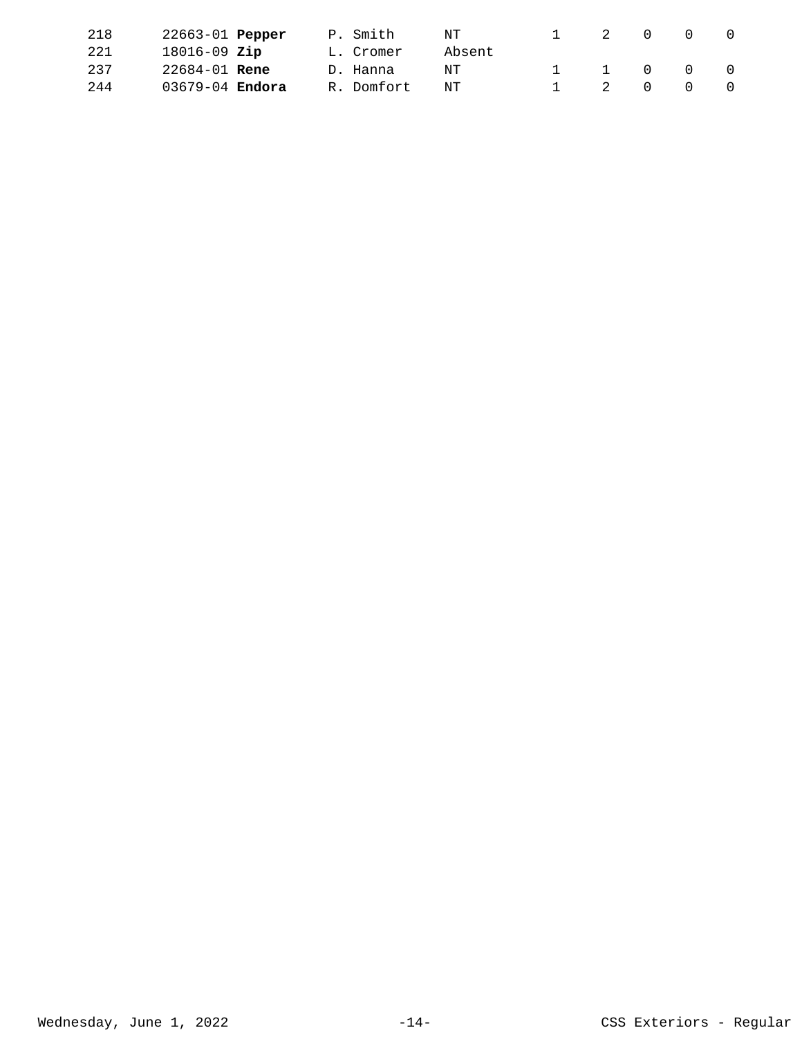| 218  | 22663-01 <b>Pepper</b> | P. Smith   | NT     |   |                |        |        |
|------|------------------------|------------|--------|---|----------------|--------|--------|
| 221  | $18016 - 09$ Zip       | L. Cromer  | Absent |   |                |        |        |
| 237  | $22684 - 01$ Rene      | D. Hanna   | NT     | 1 | $\overline{0}$ | $\cap$ | $\cap$ |
| 2.44 | 03679-04 <b>Endora</b> | R. Domfort | NT     |   | $\overline{0}$ |        | $\cap$ |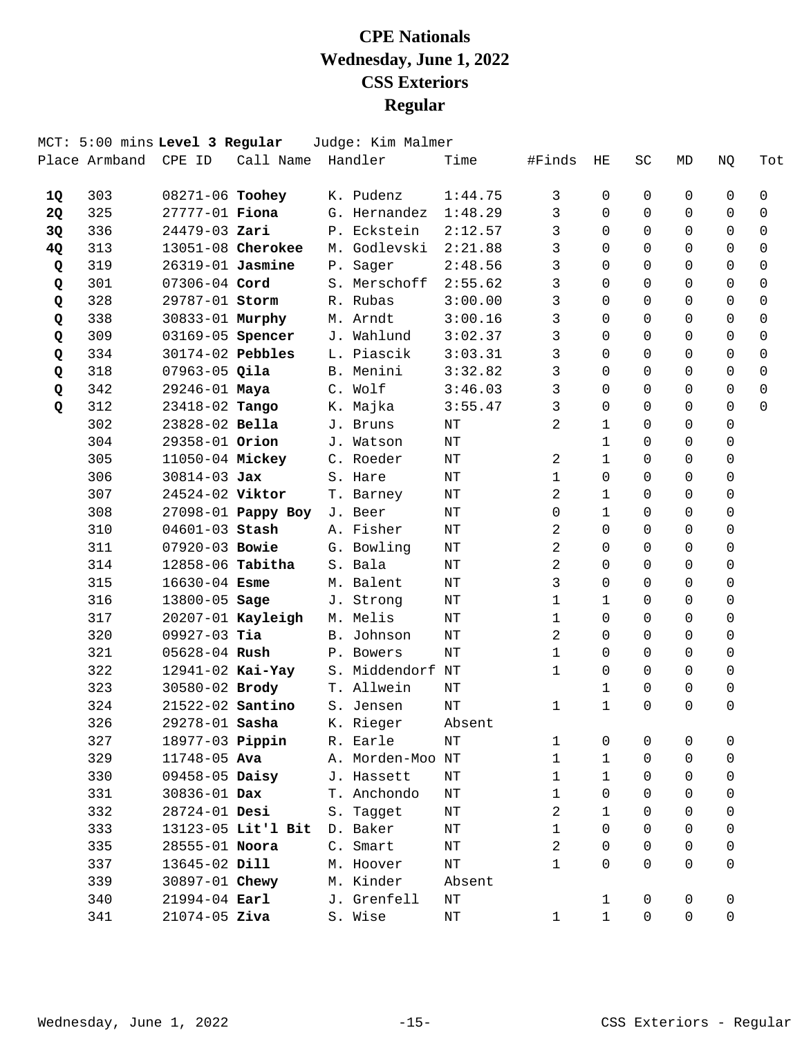|           |     | MCT: 5:00 mins Level 3 Regular |                             | Judge: Kim Malmer |           |                |              |              |             |              |             |
|-----------|-----|--------------------------------|-----------------------------|-------------------|-----------|----------------|--------------|--------------|-------------|--------------|-------------|
|           |     | Place Armband CPE ID           | Call Name Handler           |                   | Time      | #Finds         | HE           | SC           | MD          | NQ           | Tot         |
| 1Q        | 303 | 08271-06 Toohey                |                             | K. Pudenz         | 1:44.75   | 3              | 0            | 0            | 0           | 0            | $\mathbf 0$ |
| <b>2Q</b> | 325 | 27777-01 Fiona                 |                             | G. Hernandez      | 1:48.29   | 3              | $\Omega$     | 0            | 0           | $\Omega$     | $\Omega$    |
| 3Q        | 336 | 24479-03 Zari                  |                             | P. Eckstein       | 2:12.57   | 3              | $\Omega$     | $\Omega$     | $\Omega$    | 0            | $\Omega$    |
| 4Q        | 313 |                                | 13051-08 Cherokee           | M. Godlevski      | 2:21.88   | 3              | $\Omega$     | $\Omega$     | $\Omega$    | $\mathsf{O}$ | $\mathbf 0$ |
| Q         | 319 | 26319-01 Jasmine               |                             | P. Sager          | 2:48.56   | 3              | $\Omega$     | 0            | $\Omega$    | 0            | $\Omega$    |
| Q         | 301 | 07306-04 Cord                  |                             | S. Merschoff      | 2:55.62   | 3              | $\Omega$     | $\Omega$     | $\Omega$    | 0            | $\Omega$    |
| Q         | 328 | 29787-01 Storm                 |                             | R. Rubas          | 3:00.00   | 3              | $\Omega$     | $\Omega$     | $\Omega$    | 0            | $\Omega$    |
| Q         | 338 | 30833-01 Murphy                |                             | M. Arndt          | 3:00.16   | 3              | $\Omega$     | $\Omega$     | $\Omega$    | $\mathbf 0$  | $\mathbf 0$ |
| Q         | 309 | 03169-05 Spencer               |                             | J. Wahlund        | 3:02.37   | $\mathsf{3}$   | $\Omega$     | 0            | $\Omega$    | 0            | $\Omega$    |
| Q         | 334 | 30174-02 Pebbles               |                             | L. Piascik        | 3:03.31   | 3              | $\Omega$     | 0            | $\Omega$    | 0            | $\Omega$    |
| Q         | 318 | $07963-05$ Qila                |                             | B. Menini         | 3:32.82   | 3              | $\Omega$     | 0            | 0           | 0            | $\Omega$    |
| Q         | 342 | 29246-01 Maya                  |                             | C. Wolf           | 3:46.03   | 3              | $\Omega$     | $\Omega$     | $\Omega$    | 0            | $\mathbf 0$ |
| Q         | 312 | 23418-02 Tango                 |                             | K. Majka          | 3:55.47   | 3              | $\Omega$     | 0            | $\Omega$    | $\Omega$     | $\Omega$    |
|           | 302 | 23828-02 Bella                 |                             | J. Bruns          | $\rm{NT}$ | 2              | $\mathbf{1}$ | $\Omega$     | $\Omega$    | 0            |             |
|           | 304 | 29358-01 Orion                 |                             | J. Watson         | NΤ        |                | 1            | 0            | $\Omega$    | 0            |             |
|           | 305 | 11050-04 Mickey                |                             | C. Roeder         | NΤ        | 2              | $\mathbf{1}$ | $\Omega$     | $\Omega$    | 0            |             |
|           | 306 | $30814 - 03$ Jax               |                             | S. Hare           | NΤ        | $\mathbf{1}$   | $\Omega$     | $\Omega$     | $\Omega$    | 0            |             |
|           | 307 | 24524-02 Viktor                |                             | T. Barney         | NΤ        | 2              | $\mathbf{1}$ | 0            | $\Omega$    | 0            |             |
|           | 308 |                                | 27098-01 Pappy Boy          | J. Beer           | NΤ        | $\mathbf 0$    | $\mathbf{1}$ | 0            | 0           | 0            |             |
|           | 310 | 04601-03 Stash                 |                             | A. Fisher         | $\rm{NT}$ | 2              | $\Omega$     | $\Omega$     | $\Omega$    | 0            |             |
|           | 311 | 07920-03 Bowie                 |                             | G. Bowling        | NΤ        | 2              | $\Omega$     | 0            | $\Omega$    | 0            |             |
|           | 314 | 12858-06 Tabitha               |                             | S. Bala           | NΤ        | 2              | $\Omega$     | $\Omega$     | $\Omega$    | 0            |             |
|           | 315 | $16630 - 04$ Esme              |                             | M. Balent         | NΤ        | 3              | $\Omega$     | 0            | 0           | 0            |             |
|           | 316 | 13800-05 Sage                  |                             | J. Strong         | $\rm{NT}$ | $\mathbf{1}$   | 1            | $\Omega$     | $\Omega$    | 0            |             |
|           | 317 |                                | 20207-01 Kayleigh           | M. Melis          | NΤ        | $\mathbf{1}$   | $\Omega$     | $\Omega$     | $\Omega$    | 0            |             |
|           | 320 | $09927-03$ Tia                 |                             | B. Johnson        | NT        | 2              | $\Omega$     | $\Omega$     | $\Omega$    | 0            |             |
|           | 321 | 05628-04 Rush                  |                             | P. Bowers         | NΤ        | $\mathbf{1}$   | 0            | 0            | 0           | 0            |             |
|           | 322 | $12941 - 02$ Kai-Yay           |                             | S. Middendorf NT  |           | $\mathbf{1}$   | $\Omega$     | $\Omega$     | $\Omega$    | 0            |             |
|           | 323 | 30580-02 Brody                 |                             | T. Allwein        | NΤ        |                | 1            | 0            | $\Omega$    | 0            |             |
|           | 324 | 21522-02 Santino               |                             | S. Jensen         | NT        | 1              | $\mathbf{1}$ | $\Omega$     | $\Omega$    | 0            |             |
|           | 326 |                                | 29278-01 Sasha              | K. Rieger         | Absent    |                |              |              |             |              |             |
|           | 327 |                                | 18977-03 <b>Pippin</b>      | R. Earle          | NT        | 1              | 0            | 0            | 0           | 0            |             |
|           | 329 | 11748-05 Ava                   |                             | A. Morden-Moo NT  |           | $\mathbf 1$    | $\mathbf{1}$ | 0            | 0           | 0            |             |
|           | 330 |                                | $09458-05$ Daisy            | J. Hassett        | ΝT        | $\mathbf{1}$   | $\mathbf{1}$ | $\Omega$     | $\Omega$    | 0            |             |
|           | 331 | 30836-01 Dax                   |                             | T. Anchondo       | NΤ        | $\mathbf{1}$   | $\Omega$     | 0            | 0           | 0            |             |
|           | 332 | 28724-01 Desi                  |                             | S. Tagget         | ΝT        | 2              | 1            | 0            | $\Omega$    | 0            |             |
|           | 333 |                                | 13123-05 Lit'l Bit D. Baker |                   | ΝT        | $\mathbf{1}$   | $\Omega$     | $\Omega$     | $\Omega$    | 0            |             |
|           | 335 | 28555-01 Noora                 |                             | C. Smart          | NΤ        | $\overline{a}$ | $\Omega$     | 0            | $\Omega$    | 0            |             |
|           | 337 | 13645-02 Dill                  |                             | M. Hoover         | ΝT        | $\mathbf{1}$   | $\Omega$     | $\Omega$     | $\Omega$    | 0            |             |
|           | 339 | 30897-01 Chewy                 |                             | M. Kinder         | Absent    |                |              |              |             |              |             |
|           | 340 | $21994 - 04$ Earl              |                             | J. Grenfell       | ΝT        |                | $\mathbf{1}$ | 0            | 0           | 0            |             |
|           | 341 | $21074 - 05$ Ziva              |                             | S. Wise           | ΝT        | $\mathbf{1}$   | $\mathbf{1}$ | $\mathsf{O}$ | $\mathbf 0$ | 0            |             |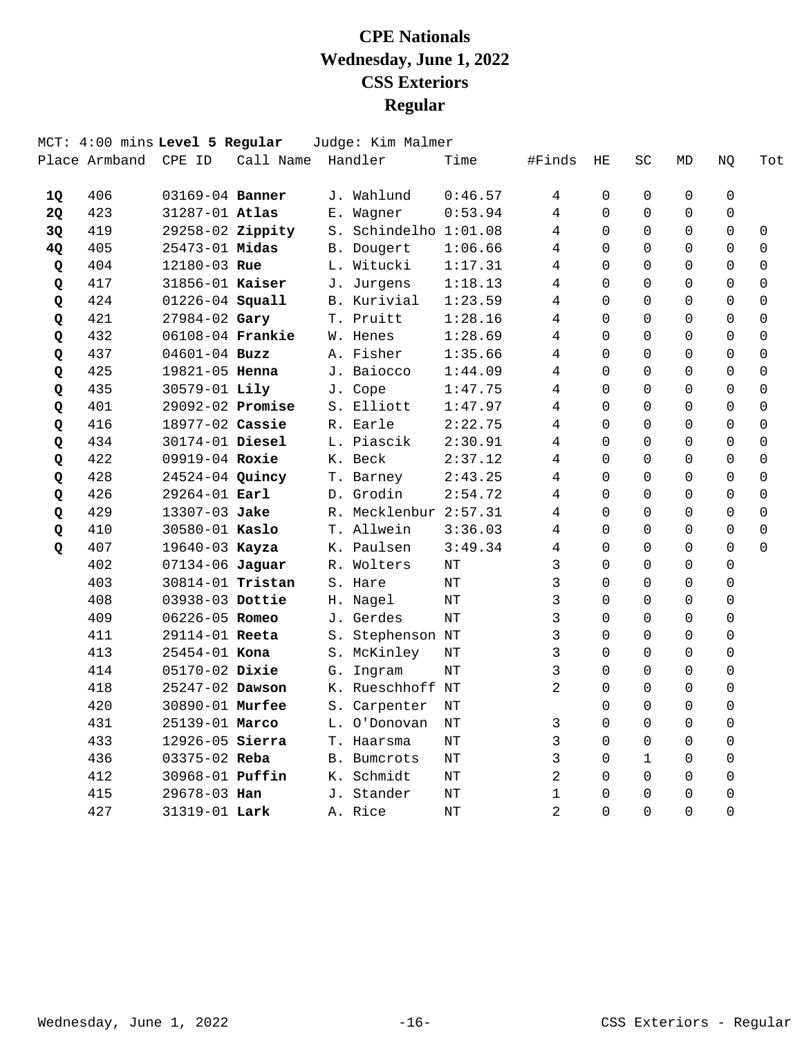|    | MCT: 4:00 mins Level 5 Regular |                      |           |    | Judge: Kim Malmer     |         |                |                |              |          |             |          |
|----|--------------------------------|----------------------|-----------|----|-----------------------|---------|----------------|----------------|--------------|----------|-------------|----------|
|    | Place Armband                  | CPE ID               | Call Name |    | Handler               | Time    | #Finds         | HE             | SC           | MD       | NQ          | Tot      |
| 1Q | 406                            | 03169-04 Banner      |           |    | J. Wahlund            | 0:46.57 | 4              | $\Omega$       | 0            | $\Omega$ | $\Omega$    |          |
| 2Q | 423                            | 31287-01 Atlas       |           | Е. | Wagner                | 0:53.94 | $\overline{4}$ | $\Omega$       | $\Omega$     | $\Omega$ | $\mathbf 0$ |          |
| 3Q | 419                            | 29258-02 Zippity     |           |    | S. Schindelho 1:01.08 |         | 4              | $\Omega$       | $\Omega$     | $\Omega$ | $\mathbf 0$ | 0        |
| 4Q | 405                            | 25473-01 Midas       |           |    | B. Dougert            | 1:06.66 | 4              | $\Omega$       | $\Omega$     | $\Omega$ | $\Omega$    | 0        |
| Q  | 404                            | 12180-03 Rue         |           |    | L. Witucki            | 1:17.31 | 4              | 0              | 0            | $\Omega$ | 0           | 0        |
| Q  | 417                            | 31856-01 Kaiser      |           |    | J. Jurgens            | 1:18.13 | 4              | 0              | 0            | $\Omega$ | 0           | 0        |
| Q  | 424                            | 01226-04 Squall      |           |    | B. Kurivial           | 1:23.59 | 4              | $\Omega$       | 0            | $\Omega$ | 0           | $\Omega$ |
| Q  | 421                            | 27984-02 Gary        |           |    | T. Pruitt             | 1:28.16 | 4              | $\Omega$       | 0            | $\Omega$ | $\Omega$    | $\Omega$ |
| Q  | 432                            | 06108-04 Frankie     |           |    | W. Henes              | 1:28.69 | 4              | $\Omega$       | $\Omega$     | $\Omega$ | $\Omega$    | 0        |
| Q  | 437                            | $04601 - 04$ Buzz    |           |    | A. Fisher             | 1:35.66 | 4              | $\Omega$       | $\Omega$     | $\Omega$ | 0           | 0        |
| Q  | 425                            | 19821-05 Henna       |           |    | J. Baiocco            | 1:44.09 | 4              | $\Omega$       | $\Omega$     | $\Omega$ | $\Omega$    | 0        |
| Q  | 435                            | 30579-01 Lily        |           |    | J. Cope               | 1:47.75 | 4              | $\Omega$       | $\Omega$     | $\Omega$ | $\Omega$    | 0        |
| Q  | 401                            | 29092-02 Promise     |           |    | S. Elliott            | 1:47.97 | 4              | $\Omega$       | $\Omega$     | $\Omega$ | $\Omega$    | $\Omega$ |
| Q  | 416                            | 18977-02 Cassie      |           |    | R. Earle              | 2:22.75 | 4              | $\Omega$       | $\Omega$     | $\Omega$ | 0           | $\Omega$ |
| Q  | 434                            | 30174-01 Diesel      |           |    | L. Piascik            | 2:30.91 | 4              | $\Omega$       | $\Omega$     | $\Omega$ | $\Omega$    | $\Omega$ |
| Q  | 422                            | 09919-04 Roxie       |           |    | K. Beck               | 2:37.12 | 4              | $\Omega$       | $\Omega$     | $\Omega$ | $\Omega$    | $\Omega$ |
| Q  | 428                            | 24524-04 Quincy      |           |    | T. Barney             | 2:43.25 | 4              | $\Omega$       | 0            | $\Omega$ | 0           | 0        |
| Q  | 426                            | 29264-01 Earl        |           |    | D. Grodin             | 2:54.72 | 4              | $\Omega$       | $\Omega$     | $\Omega$ | $\Omega$    | 0        |
| Q  | 429                            | 13307-03 Jake        |           |    | R. Mecklenbur 2:57.31 |         | 4              | $\Omega$       | $\Omega$     | $\Omega$ | $\Omega$    | $\Omega$ |
| Q  | 410                            | 30580-01 Kaslo       |           |    | T. Allwein            | 3:36.03 | 4              | $\Omega$       | $\Omega$     | $\Omega$ | $\Omega$    | $\Omega$ |
| Q  | 407                            | 19640-03 Kayza       |           |    | K. Paulsen            | 3:49.34 | 4              | $\Omega$       | 0            | $\Omega$ | $\Omega$    | $\Omega$ |
|    | 402                            | $07134 - 06$ Jaguar  |           |    | R. Wolters            | NΤ      | 3              | $\overline{0}$ | $\Omega$     | $\Omega$ | 0           |          |
|    | 403                            | 30814-01 Tristan     |           |    | S. Hare               | NT      | 3              | $\Omega$       | $\Omega$     | $\Omega$ | 0           |          |
|    | 408                            | 03938-03 Dottie      |           |    | H. Nagel              | NΤ      | 3              | 0              | $\Omega$     | $\Omega$ | 0           |          |
|    | 409                            | 06226-05 Romeo       |           |    | J. Gerdes             | NΤ      | 3              | $\Omega$       | 0            | $\Omega$ | 0           |          |
|    | 411                            | 29114-01 Reeta       |           |    | S. Stephenson NT      |         | 3              | $\Omega$       | $\Omega$     | $\Omega$ | 0           |          |
|    | 413                            | 25454-01 Kona        |           |    | S. McKinley           | NT      | 3              | $\Omega$       | $\Omega$     | $\Omega$ | $\Omega$    |          |
|    | 414                            | 05170-02 Dixie       |           | G. | Ingram                | NT      | 3              | $\Omega$       | 0            | $\Omega$ | $\Omega$    |          |
|    | 418                            | 25247-02 Dawson      |           | К. | Rueschhoff NT         |         | 2              | $\Omega$       | 0            | $\Omega$ | 0           |          |
|    | 420                            | 30890-01 Murfee      |           |    | S. Carpenter          | NΤ      |                | $\Omega$       | $\Omega$     | $\Omega$ | 0           |          |
|    | 431                            | 25139-01 Marco       |           |    | L. O'Donovan          | NΤ      | 3              | $\Omega$       | 0            | $\Omega$ | 0           |          |
|    | 433                            | 12926-05 Sierra      |           |    | T. Haarsma            | NT      | 3              | $\Omega$       | $\Omega$     | $\Omega$ | 0           |          |
|    | 436                            | 03375-02 Reba        |           | B. | <b>Bumcrots</b>       | NΤ      | 3              | $\Omega$       | $\mathbf{1}$ | $\Omega$ | $\Omega$    |          |
|    | 412                            | 30968-01 Puffin      |           |    | K. Schmidt            | NΤ      | $\overline{2}$ | $\Omega$       | $\Omega$     | $\Omega$ | 0           |          |
|    | 415                            | 29678-03 Han         |           |    | J. Stander            | NT      | 1              | $\Omega$       | $\Omega$     | $\Omega$ | 0           |          |
|    | 427                            | 31319-01 <b>Lark</b> |           |    | A. Rice               | NΤ      | $\overline{a}$ | $\Omega$       | $\Omega$     | $\Omega$ | $\Omega$    |          |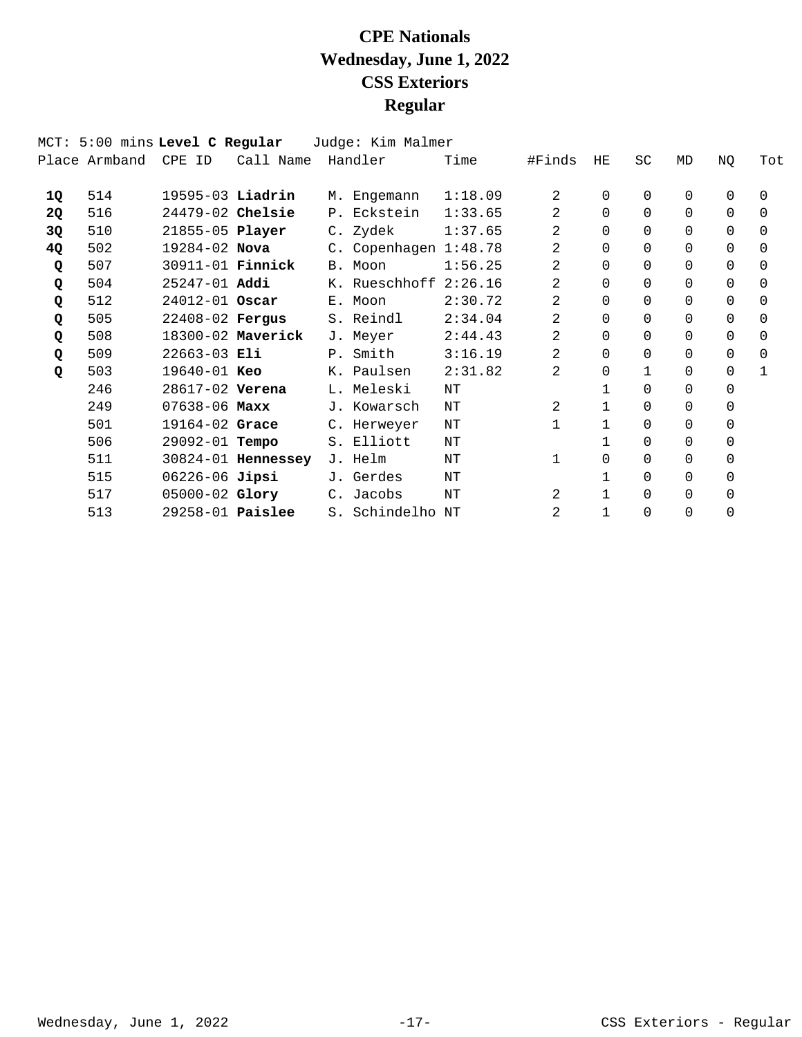|    |               | MCT: 5:00 mins Level C Regular |                    | Judge: Kim Malmer     |         |                |              |           |          |          |          |
|----|---------------|--------------------------------|--------------------|-----------------------|---------|----------------|--------------|-----------|----------|----------|----------|
|    | Place Armband | CPE ID                         | Call Name          | Handler               | Time    | #Finds         | HE           | <b>SC</b> | MD       | NQ       | Tot      |
| 1Q | 514           | 19595-03 Liadrin               |                    | M. Engemann           | 1:18.09 | 2              | $\Omega$     | 0         | 0        | 0        | $\Omega$ |
| 2Q | 516           | $24479-02$ Chelsie             |                    | P. Eckstein           | 1:33.65 | 2              | $\Omega$     | $\Omega$  | $\Omega$ | 0        | $\Omega$ |
| 3Q | 510           | 21855-05 Player                |                    | C. Zydek              | 1:37.65 | 2              | $\Omega$     | $\Omega$  | $\Omega$ | $\Omega$ | $\Omega$ |
| 4Q | 502           | 19284-02 Nova                  |                    | C. Copenhagen 1:48.78 |         | $\overline{2}$ | $\Omega$     | 0         | 0        | 0        | $\Omega$ |
| Q  | 507           | 30911-01 <b>Finnick</b>        |                    | B. Moon               | 1:56.25 | 2              | $\Omega$     | 0         | 0        | $\Omega$ | $\Omega$ |
| Q  | 504           | $25247 - 01$ Addi              |                    | K. Rueschhoff 2:26.16 |         | 2              | $\Omega$     | 0         | 0        | $\Omega$ | $\Omega$ |
| Q  | 512           | 24012-01 Oscar                 |                    | E. Moon               | 2:30.72 | 2              | $\Omega$     | 0         | 0        | $\Omega$ | $\Omega$ |
| Q  | 505           | 22408-02 Fergus                |                    | S. Reindl             | 2:34.04 | 2              | $\Omega$     | $\Omega$  | $\Omega$ | $\Omega$ | $\Omega$ |
| Q  | 508           |                                | 18300-02 Maverick  | J. Meyer              | 2:44.43 | 2              | $\Omega$     | $\Omega$  | $\Omega$ | $\Omega$ | $\Omega$ |
| Q  | 509           | $22663 - 03$ Eli               |                    | P. Smith              | 3:16.19 | 2              | $\Omega$     | 0         | 0        | $\Omega$ | $\Omega$ |
| Q  | 503           | $19640 - 01$ Keo               |                    | K. Paulsen            | 2:31.82 | 2              | $\Omega$     |           | 0        | 0        | 1        |
|    | 246           | 28617-02 Verena                |                    | L. Meleski            | NΤ      |                |              | 0         | $\Omega$ | $\Omega$ |          |
|    | 249           | $07638 - 06$ Maxx              |                    | J. Kowarsch           | ΝT      | 2              | $\mathbf 1$  | 0         | 0        | 0        |          |
|    | 501           | $19164 - 02$ Grace             |                    | C. Herweyer           | ΝT      |                |              | 0         | $\Omega$ | $\Omega$ |          |
|    | 506           | 29092-01 <b>Tempo</b>          |                    | S. Elliott            | NΤ      |                |              | 0         | 0        | 0        |          |
|    | 511           |                                | 30824-01 Hennessey | J. Helm               | NΤ      |                | $\Omega$     | 0         | 0        | 0        |          |
|    | 515           | 06226-06 Jipsi                 |                    | J. Gerdes             | NΤ      |                |              | 0         | 0        | $\Omega$ |          |
|    | 517           | 05000-02 Glory                 |                    | C. Jacobs             | NΤ      | 2              | $\mathbf{1}$ | 0         | 0        | 0        |          |
|    | 513           | 29258-01 <b>Paislee</b>        |                    | S. Schindelho NT      |         | 2              | $\mathbf{1}$ | 0         | 0        | $\Omega$ |          |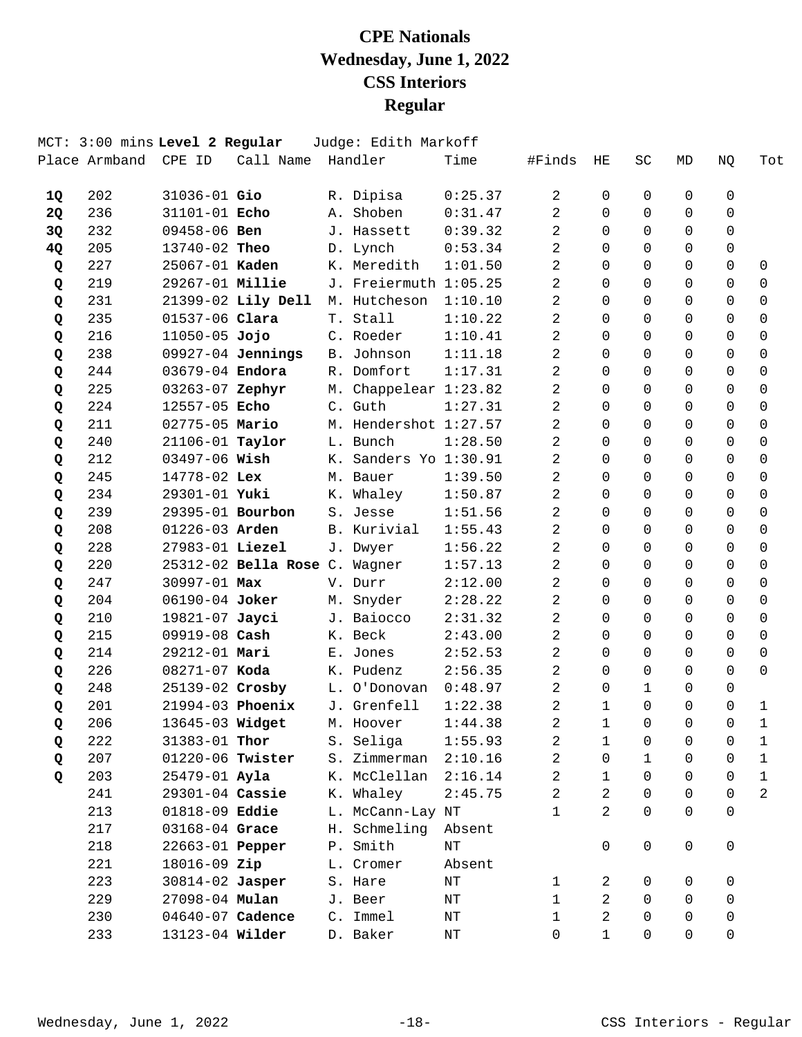|    |     | MCT: 3:00 mins Level 2 Regular |                               | Judge: Edith Markoff  |           |                |                |                |              |                |                |
|----|-----|--------------------------------|-------------------------------|-----------------------|-----------|----------------|----------------|----------------|--------------|----------------|----------------|
|    |     | Place Armband CPE ID           | Call Name Handler             |                       | Time      | #Finds         | HE.            | SC             | MD           | NQ             | Tot            |
| 1Q | 202 | $31036 - 01$ Gio               |                               | R. Dipisa             | 0:25.37   | 2              | 0              | 0              | 0            | 0              |                |
| 2Q | 236 | 31101-01 Echo                  |                               | A. Shoben             | 0:31.47   | 2              | $\Omega$       | $\Omega$       | $\Omega$     | $\Omega$       |                |
| 3Q | 232 | 09458-06 Ben                   |                               | J. Hassett            | 0:39.32   | 2              | $\Omega$       | $\Omega$       | $\Omega$     | $\Omega$       |                |
| 4Q | 205 | 13740-02 Theo                  |                               | D. Lynch              | 0:53.34   | 2              | $\mathbf 0$    | $\Omega$       | $\Omega$     | $\mathbf 0$    |                |
| Q  | 227 | 25067-01 Kaden                 |                               | K. Meredith           | 1:01.50   | 2              | $\Omega$       | $\Omega$       | $\Omega$     | $\Omega$       | 0              |
| Q  | 219 |                                | 29267-01 Millie               | J. Freiermuth 1:05.25 |           | 2              | $\Omega$       | $\Omega$       | $\Omega$     | $\Omega$       | 0              |
| Q  | 231 |                                | 21399-02 Lily Dell            | M. Hutcheson          | 1:10.10   | 2              | $\Omega$       | $\Omega$       | $\Omega$     | $\Omega$       | $\Omega$       |
| Q  | 235 | 01537-06 Clara                 |                               | T. Stall              | 1:10.22   | 2              | 0              | $\Omega$       | $\Omega$     | $\Omega$       | $\mathbf 0$    |
| Q  | 216 | $11050 - 05$ Jojo              |                               | C. Roeder             | 1:10.41   | 2              | $\Omega$       | $\Omega$       | $\Omega$     | $\Omega$       | $\mathbf 0$    |
| Q  | 238 |                                | $09927-04$ Jennings           | B. Johnson            | 1:11.18   | $\overline{2}$ | $\Omega$       | $\Omega$       | $\Omega$     | $\Omega$       | 0              |
| Q  | 244 | 03679-04 Endora                |                               | R. Domfort            | 1:17.31   | 2              | $\Omega$       | $\Omega$       | $\Omega$     | $\Omega$       | $\Omega$       |
| Q  | 225 | 03263-07 Zephyr                |                               | M. Chappelear 1:23.82 |           | 2              | $\mathbf 0$    | $\Omega$       | $\Omega$     | $\Omega$       | $\mathbf 0$    |
| Q  | 224 | 12557-05 Echo                  |                               | C. Guth               | 1:27.31   | 2              | $\Omega$       | $\Omega$       | $\Omega$     | $\Omega$       | 0              |
| Q  | 211 | 02775-05 Mario                 |                               | M. Hendershot 1:27.57 |           | 2              | $\Omega$       | $\Omega$       | $\Omega$     | $\Omega$       | 0              |
| Q  | 240 | 21106-01 Taylor                |                               | L. Bunch              | 1:28.50   | 2              | $\Omega$       | $\Omega$       | $\Omega$     | $\Omega$       | $\Omega$       |
| Q  | 212 | 03497-06 Wish                  |                               | K. Sanders Yo 1:30.91 |           | 2              | $\Omega$       | $\Omega$       | $\Omega$     | $\Omega$       | $\mathbf 0$    |
| Q  | 245 | 14778-02 Lex                   |                               | M. Bauer              | 1:39.50   | 2              | $\Omega$       | $\Omega$       | $\Omega$     | $\Omega$       | $\mathbf 0$    |
| Q  | 234 | 29301-01 Yuki                  |                               | K. Whaley             | 1:50.87   | $\overline{2}$ | $\Omega$       | $\Omega$       | $\Omega$     | $\Omega$       | 0              |
| Q  | 239 | 29395-01 Bourbon               |                               | S. Jesse              | 1:51.56   | 2              | $\Omega$       | $\Omega$       | $\Omega$     | $\Omega$       | 0              |
| Q  | 208 | 01226-03 Arden                 |                               | B. Kurivial           | 1:55.43   | 2              | $\Omega$       | $\Omega$       | $\Omega$     | $\Omega$       | $\mathbf 0$    |
| Q  | 228 | 27983-01 Liezel                |                               | J. Dwyer              | 1:56.22   | 2              | $\mathbf 0$    | $\Omega$       | $\Omega$     | $\Omega$       | $\mathbf 0$    |
| Q  | 220 |                                | 25312-02 Bella Rose C. Wagner |                       | 1:57.13   | 2              | $\Omega$       | $\Omega$       | $\Omega$     | $\Omega$       | $\Omega$       |
| Q  | 247 | 30997-01 Max                   |                               | V. Durr               | 2:12.00   | 2              | $\Omega$       | $\Omega$       | $\Omega$     | $\Omega$       | 0              |
| Q  | 204 | 06190-04 Joker                 |                               | M. Snyder             | 2:28.22   | 2              | $\Omega$       | $\Omega$       | $\Omega$     | $\Omega$       | $\Omega$       |
| Q  | 210 | 19821-07 Jayci                 |                               | J. Baiocco            | 2:31.32   | 2              | $\Omega$       | $\Omega$       | $\Omega$     | $\Omega$       | $\mathbf 0$    |
| Q  | 215 | 09919-08 Cash                  |                               | K. Beck               | 2:43.00   | 2              | $\Omega$       | $\Omega$       | $\Omega$     | $\Omega$       | $\Omega$       |
| Q  | 214 | 29212-01 Mari                  |                               | E. Jones              | 2:52.53   | 2              | $\Omega$       | $\Omega$       | $\Omega$     | $\Omega$       | 0              |
| Q  | 226 | 08271-07 Koda                  |                               | K. Pudenz             | 2:56.35   | 2              | $\Omega$       | $\Omega$       | $\Omega$     | $\Omega$       | $\Omega$       |
| Q  | 248 | 25139-02 Crosby                |                               | L. O'Donovan          | 0:48.97   | 2              | $\mathbf 0$    | $\mathbf{1}$   | $\mathbf 0$  | $\mathbf 0$    |                |
| Q  | 201 | 21994-03 Phoenix               |                               | J. Grenfell           | 1:22.38   | 2              | $\mathbf{1}$   | $\Omega$       | $\Omega$     | $\Omega$       | $\mathbf{1}$   |
| Q  | 206 | 13645-03 <b>Widget</b>         |                               | M. Hoover             | 1:44.38   | 2              | 1              | $\overline{0}$ | $\mathbf{0}$ | $\overline{0}$ | 1              |
| Q  | 222 | 31383-01 Thor                  |                               | S. Seliga             | 1:55.93   | 2              | 1              | 0              | 0            | 0              | $\mathbf{1}$   |
| Q  | 207 | 01220-06 Twister               |                               | S. Zimmerman 2:10.16  |           | 2              | $\mathsf{O}$   | $\mathbf 1$    | $\mathbf 0$  | $\mathbf 0$    | $\mathbf{1}$   |
| Q  | 203 | 25479-01 Ayla                  |                               | K. McClellan 2:16.14  |           | 2              | 1              | $\Omega$       | $\Omega$     | $\Omega$       | $\mathbf{1}$   |
|    | 241 | $29301-04$ Cassie              |                               | K. Whaley             | 2:45.75   | 2              | 2              | $\Omega$       | $\Omega$     | $\Omega$       | $\overline{a}$ |
|    | 213 | 01818-09 Eddie                 |                               | L. McCann-Lay NT      |           | 1              | $\overline{2}$ | $\Omega$       | $\Omega$     | $\Omega$       |                |
|    | 217 | 03168-04 Grace                 |                               | H. Schmeling          | Absent    |                |                |                |              |                |                |
|    | 218 | 22663-01 Pepper                |                               | P. Smith              | $\rm{NT}$ |                | $\mathbf 0$    | $\mathbf 0$    | 0            | 0              |                |
|    | 221 | 18016-09 Zip                   |                               | L. Cromer             | Absent    |                |                |                |              |                |                |
|    | 223 | 30814-02 Jasper                |                               | S. Hare               | $\rm{NT}$ | 1              | 2              | 0              | 0            | 0              |                |
|    | 229 | 27098-04 Mulan                 |                               | J. Beer               | ΝT        | $\mathbf{1}$   | 2              | $\Omega$       | 0            | $\mathbf 0$    |                |
|    | 230 | 04640-07 Cadence               |                               | C. Immel              | ΝT        | 1              | 2              | $\Omega$       | 0            | 0              |                |
|    | 233 | 13123-04 Wilder                |                               | D. Baker              | $\rm{NT}$ | 0              | 1              | 0              | 0            | 0              |                |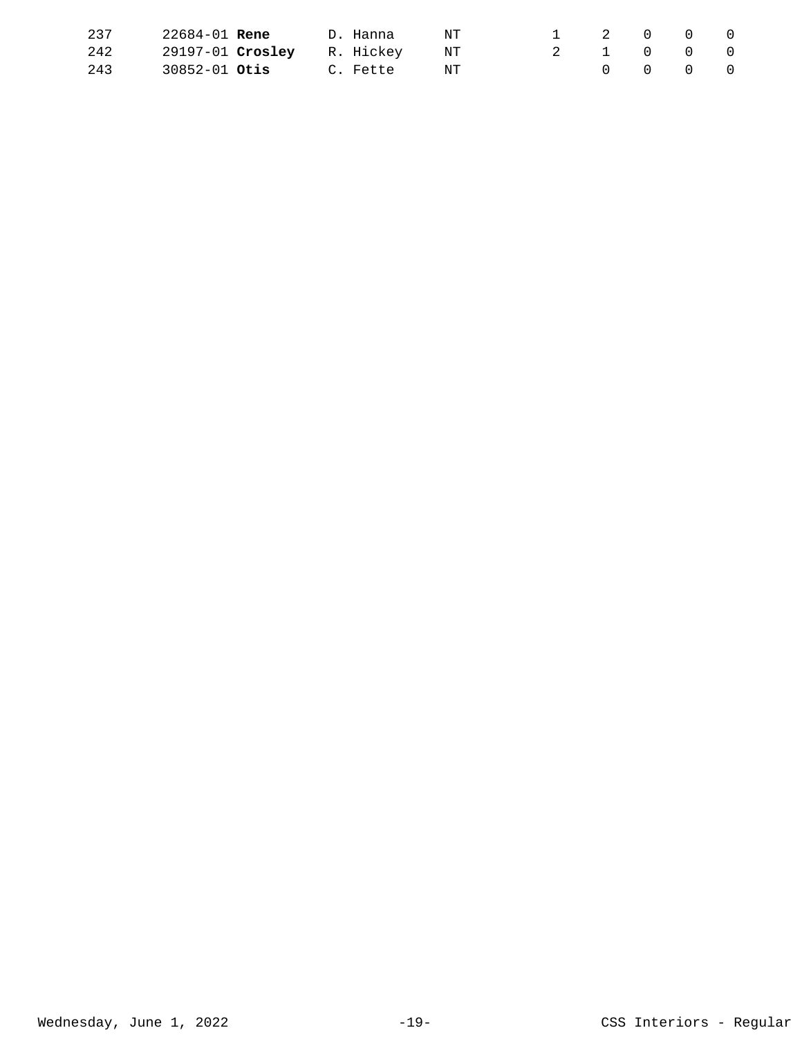| 237 | 22684-01 <b>Rene</b>          | D. Hanna    | N T |           | 1 2 0 0 0                               |  |
|-----|-------------------------------|-------------|-----|-----------|-----------------------------------------|--|
| 242 | 29197-01 Crosley R. Hickey NT |             |     | 2 1 0 0 0 |                                         |  |
| 243 | 30852-01 <b>Otis</b>          | C. Fette NT |     |           | $\begin{matrix} 0 & 0 & 0 \end{matrix}$ |  |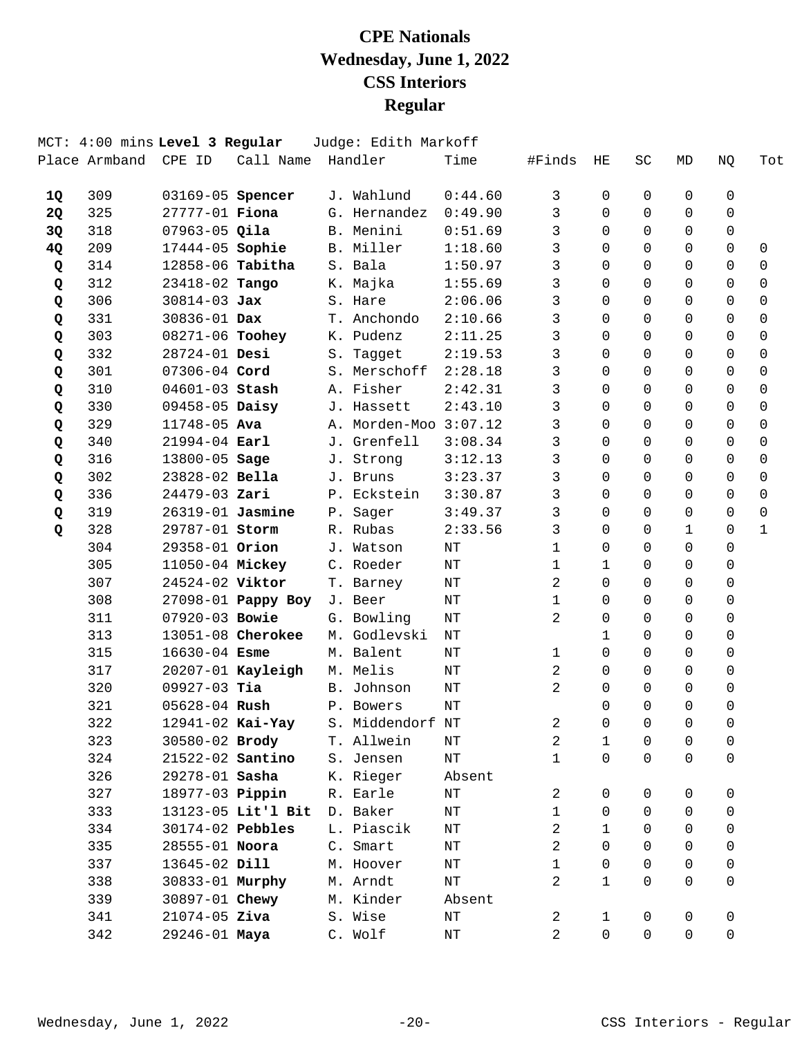|    |     | MCT: 4:00 mins Level 3 Regular |                    | Judge: Edith Markoff              |           |              |              |          |              |              |              |
|----|-----|--------------------------------|--------------------|-----------------------------------|-----------|--------------|--------------|----------|--------------|--------------|--------------|
|    |     | Place Armband CPE ID           | Call Name Handler  |                                   | Time      | #Finds       | ΗE           | SC       | MD           | NQ           | Tot          |
| 1Q | 309 | 03169-05 Spencer               |                    | J. Wahlund                        | 0:44.60   | 3            | 0            | 0        | 0            | 0            |              |
| 2Q | 325 | 27777-01 Fiona                 |                    | G. Hernandez                      | 0:49.90   | 3            | $\Omega$     | $\Omega$ | $\Omega$     | $\Omega$     |              |
| 3Q | 318 | $07963-05$ Qila                |                    | B. Menini                         | 0:51.69   | 3            | $\Omega$     | $\Omega$ | $\Omega$     | 0            |              |
| 4Q | 209 | 17444-05 Sophie                |                    | B. Miller                         | 1:18.60   | 3            | $\Omega$     | $\Omega$ | $\Omega$     | $\mathsf{O}$ | $\mathbf 0$  |
| Q  | 314 | 12858-06 Tabitha               |                    | S. Bala                           | 1:50.97   | 3            | $\Omega$     | $\Omega$ | $\Omega$     | $\Omega$     | $\Omega$     |
| Q  | 312 | 23418-02 Tango                 |                    | K. Majka                          | 1:55.69   | 3            | 0            | 0        | 0            | $\Omega$     | $\Omega$     |
| Q  | 306 | $30814 - 03$ Jax               |                    | S. Hare                           | 2:06.06   | 3            | $\Omega$     | $\Omega$ | $\Omega$     | $\Omega$     | $\Omega$     |
| Q  | 331 | 30836-01 Dax                   |                    | T. Anchondo                       | 2:10.66   | 3            | $\Omega$     | $\Omega$ | $\Omega$     | $\Omega$     | $\mathbf 0$  |
| Q  | 303 | 08271-06 Toohey                |                    | K. Pudenz                         | 2:11.25   | $\mathbf{3}$ | $\Omega$     | $\Omega$ | $\Omega$     | $\Omega$     | $\Omega$     |
| Q  | 332 | 28724-01 Desi                  |                    | S. Tagget                         | 2:19.53   | 3            | 0            | 0        | $\Omega$     | $\Omega$     | $\Omega$     |
| Q  | 301 | 07306-04 Cord                  |                    | S. Merschoff                      | 2:28.18   | 3            | $\Omega$     | $\Omega$ | $\Omega$     | $\Omega$     | $\mathbf 0$  |
| Q  | 310 | 04601-03 Stash                 |                    | A. Fisher                         | 2:42.31   | 3            | $\Omega$     | $\Omega$ | $\Omega$     | $\mathbf 0$  | $\mathbf 0$  |
| Q  | 330 | 09458-05 Daisy                 |                    | J. Hassett                        | 2:43.10   | 3            | $\Omega$     | $\Omega$ | $\Omega$     | $\Omega$     | $\mathbf 0$  |
| Q  | 329 | 11748-05 Ava                   |                    | A. Morden-Moo 3:07.12             |           | 3            | $\Omega$     | 0        | $\Omega$     | $\Omega$     | $\Omega$     |
| Q  | 340 | $21994 - 04$ Earl              |                    | J. Grenfell                       | 3:08.34   | 3            | $\Omega$     | $\Omega$ | $\Omega$     | $\Omega$     | $\Omega$     |
| Q  | 316 | 13800-05 Sage                  |                    | J. Strong                         | 3:12.13   | 3            | $\Omega$     | $\Omega$ | $\Omega$     | $\mathsf{O}$ | $\mathbf 0$  |
| Q  | 302 | 23828-02 Bella                 |                    | J. Bruns                          | 3:23.37   | 3            | $\Omega$     | $\Omega$ | $\Omega$     | $\Omega$     | $\Omega$     |
| Q  | 336 | $24479 - 03$ Zari              |                    | P. Eckstein                       | 3:30.87   | 3            | $\Omega$     | $\Omega$ | $\Omega$     | $\Omega$     | $\Omega$     |
| Q  | 319 | 26319-01 Jasmine               |                    | P. Sager                          | 3:49.37   | 3            | $\Omega$     | $\Omega$ | $\Omega$     | $\Omega$     | $\Omega$     |
| Q  | 328 | 29787-01 Storm                 |                    | R. Rubas                          | 2:33.56   | 3            | $\Omega$     | $\Omega$ | $\mathbf{1}$ | $\Omega$     | $\mathbf{1}$ |
|    | 304 | 29358-01 Orion                 |                    | J. Watson                         | NΤ        | $\mathbf{1}$ | $\Omega$     | $\Omega$ | $\Omega$     | $\Omega$     |              |
|    | 305 | 11050-04 Mickey                |                    | C. Roeder                         | $\rm{NT}$ | $\mathbf{1}$ | 1            | $\Omega$ | $\Omega$     | $\Omega$     |              |
|    | 307 | 24524-02 Viktor                |                    | T. Barney                         | NΤ        | 2            | $\Omega$     | $\Omega$ | $\Omega$     | $\Omega$     |              |
|    | 308 |                                | 27098-01 Pappy Boy | J. Beer                           | NΤ        | $\mathbf{1}$ | $\Omega$     | $\Omega$ | $\Omega$     | 0            |              |
|    | 311 | 07920-03 Bowie                 |                    | G. Bowling                        | NΤ        | 2            | $\Omega$     | $\Omega$ | $\Omega$     | $\mathbf 0$  |              |
|    | 313 |                                | 13051-08 Cherokee  | M. Godlevski                      | $\rm{NT}$ |              | $\mathbf{1}$ | $\Omega$ | $\Omega$     | $\Omega$     |              |
|    | 315 | $16630 - 04$ Esme              |                    | M. Balent                         | NΤ        | $\mathbf 1$  | $\Omega$     | $\Omega$ | $\Omega$     | $\Omega$     |              |
|    | 317 |                                | 20207-01 Kayleigh  | M. Melis                          | NΤ        | 2            | $\Omega$     | $\Omega$ | $\Omega$     | 0            |              |
|    | 320 | $09927-03$ Tia                 |                    | B. Johnson                        | ΝT        | 2            | $\Omega$     | $\Omega$ | $\Omega$     | $\mathbf 0$  |              |
|    | 321 | 05628-04 Rush                  |                    | P. Bowers                         | NT        |              | $\Omega$     | $\Omega$ | $\Omega$     | $\Omega$     |              |
|    | 322 |                                |                    | 12941-02 Kai-Yay S. Middendorf NT |           | 2            | $\Omega$     | $\Omega$ | $\Omega$     | 0            |              |
|    | 323 | 30580-02 Brody                 |                    | T. Allwein                        | NΤ        | 2            | 1            | 0        | 0            | 0            |              |
|    | 324 | 21522-02 Santino               |                    | S. Jensen                         | NΤ        | $\mathbf{1}$ | $\mathsf{O}$ | $\Omega$ | 0            | $\mathsf{O}$ |              |
|    | 326 | 29278-01 Sasha                 |                    | K. Rieger                         | Absent    |              |              |          |              |              |              |
|    | 327 | 18977-03 <b>Pippin</b>         |                    | R. Earle                          | ΝT        | 2            | 0            | 0        | 0            | 0            |              |
|    | 333 |                                | 13123-05 Lit'l Bit | D. Baker                          | $\rm{NT}$ | $\mathbf{1}$ | 0            | $\Omega$ | 0            | 0            |              |
|    | 334 | 30174-02 Pebbles               |                    | L. Piascik                        | ΝT        | 2            | $\mathbf{1}$ | 0        | 0            | 0            |              |
|    | 335 | 28555-01 Noora                 |                    | C. Smart                          | ΝT        | 2            | $\Omega$     | 0        | $\Omega$     | 0            |              |
|    | 337 | 13645-02 Dill                  |                    | M. Hoover                         | ΝT        | $\mathbf{1}$ | $\mathbf 0$  | 0        | $\Omega$     | 0            |              |
|    | 338 | 30833-01 Murphy                |                    | M. Arndt                          | $\rm{NT}$ | 2            | $\mathbf{1}$ | 0        | $\Omega$     | $\mathbf 0$  |              |
|    | 339 | 30897-01 Chewy                 |                    | M. Kinder                         | Absent    |              |              |          |              |              |              |
|    | 341 | $21074 - 05$ Ziva              |                    | S. Wise                           | ΝT        | 2            | $\mathbf{1}$ | 0        | 0            | 0            |              |
|    | 342 | 29246-01 Maya                  |                    | C. Wolf                           | ΝT        | 2            | $\mathsf{O}$ | 0        | 0            | 0            |              |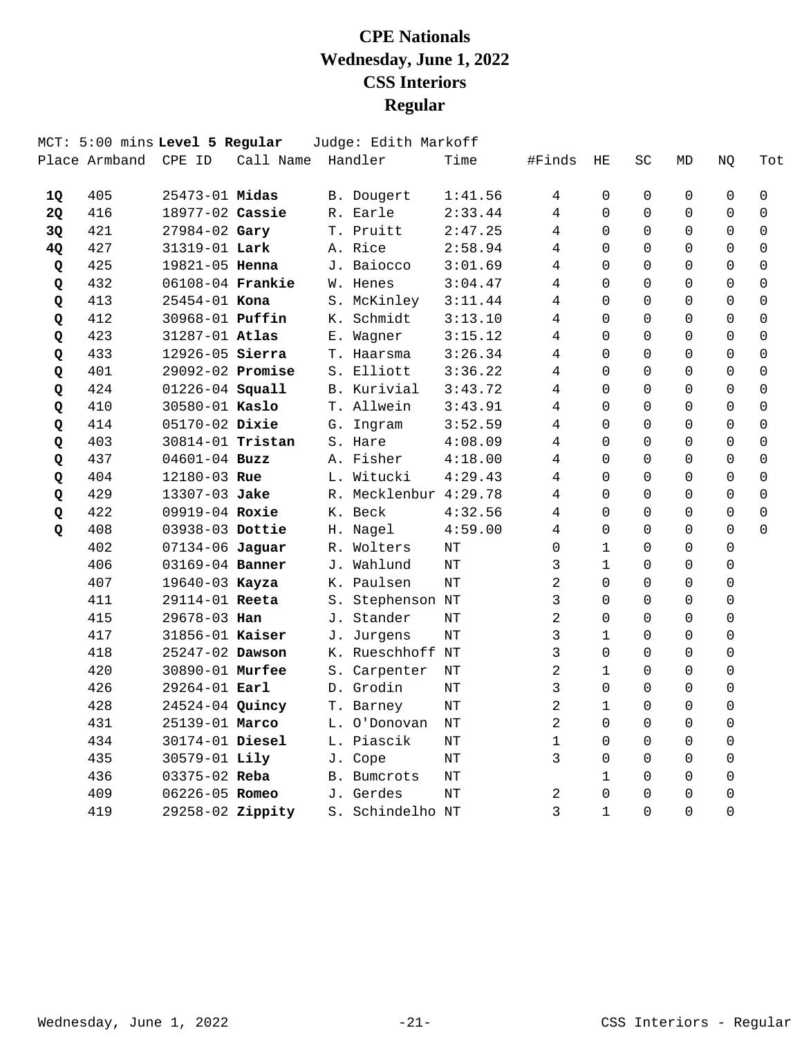|              |               | MCT: 5:00 mins Level 5 Regular |           |       | Judge: Edith Markoff  |           |                |                |          |             |                |                     |
|--------------|---------------|--------------------------------|-----------|-------|-----------------------|-----------|----------------|----------------|----------|-------------|----------------|---------------------|
|              | Place Armband | CPE ID                         | Call Name |       | Handler               | Time      | #Finds         | ΗE             | SC       | MD          | NQ             | Tot                 |
| 1Q           | 405           | $25473 - 01$ Midas             |           |       | B. Dougert            | 1:41.56   | 4              | 0              | 0        | $\mathbf 0$ | $\mathbf 0$    | $\mathbf 0$         |
| 2Q           | 416           | 18977-02 Cassie                |           |       | R. Earle              | 2:33.44   | 4              | $\Omega$       | $\Omega$ | $\Omega$    | $\Omega$       | $\Omega$            |
| 3Q           | 421           | 27984-02 Gary                  |           |       | T. Pruitt             | 2:47.25   | 4              | $\Omega$       | $\Omega$ | $\Omega$    | $\Omega$       | $\Omega$            |
| 4Q           | 427           | 31319-01 Lark                  |           |       | A. Rice               | 2:58.94   | 4              | $\Omega$       | $\Omega$ | $\Omega$    | $\Omega$       | 0                   |
| Q            | 425           | 19821-05 Henna                 |           |       | J. Baiocco            | 3:01.69   | 4              | 0              | $\Omega$ | $\Omega$    | $\Omega$       | 0                   |
| Q            | 432           | 06108-04 Frankie               |           |       | W. Henes              | 3:04.47   | 4              | 0              | $\Omega$ | $\mathbf 0$ | 0              | 0                   |
| Q            | 413           | 25454-01 Kona                  |           |       | S. McKinley           | 3:11.44   | 4              | $\Omega$       | $\Omega$ | $\Omega$    | 0              | $\mathsf{O}\xspace$ |
| Q            | 412           | 30968-01 <b>Puffin</b>         |           |       | K. Schmidt            | 3:13.10   | 4              | $\Omega$       | $\Omega$ | $\Omega$    | $\Omega$       | 0                   |
| Q            | 423           | 31287-01 Atlas                 |           |       | E. Wagner             | 3:15.12   | 4              | $\Omega$       | $\Omega$ | $\Omega$    | $\Omega$       | 0                   |
| Q            | 433           | 12926-05 Sierra                |           |       | T. Haarsma            | 3:26.34   | 4              | 0              | $\Omega$ | $\Omega$    | $\Omega$       | 0                   |
| Q            | 401           | 29092-02 Promise               |           |       | S. Elliott            | 3:36.22   | 4              | 0              | $\Omega$ | $\Omega$    | $\Omega$       | 0                   |
| Q            | 424           | 01226-04 Squall                |           |       | B. Kurivial           | 3:43.72   | 4              | $\Omega$       | $\Omega$ | $\Omega$    | $\Omega$       | $\Omega$            |
| Q            | 410           | 30580-01 Kaslo                 |           |       | T. Allwein            | 3:43.91   | 4              | $\Omega$       | $\Omega$ | $\Omega$    | $\Omega$       | $\Omega$            |
| Q            | 414           | $05170 - 02$ Dixie             |           |       | G. Ingram             | 3:52.59   | 4              | $\Omega$       | $\Omega$ | $\Omega$    | $\Omega$       | 0                   |
| Q            | 403           | 30814-01 Tristan               |           |       | S. Hare               | 4:08.09   | 4              | $\Omega$       | 0        | $\Omega$    | $\Omega$       | 0                   |
| Q            | 437           | $04601 - 04$ Buzz              |           |       | A. Fisher             | 4:18.00   | 4              | $\Omega$       | $\Omega$ | $\Omega$    | $\Omega$       | 0                   |
| Q            | 404           | 12180-03 Rue                   |           |       | L. Witucki            | 4:29.43   | 4              | $\Omega$       | $\Omega$ | $\Omega$    | $\Omega$       | $\Omega$            |
| Q            | 429           | $13307 - 03$ Jake              |           |       | R. Mecklenbur 4:29.78 |           | 4              | $\Omega$       | $\Omega$ | $\Omega$    | $\Omega$       | $\Omega$            |
| Q            | 422           | 09919-04 Roxie                 |           |       | K. Beck               | 4:32.56   | 4              | $\Omega$       | $\Omega$ | $\Omega$    | $\Omega$       | $\Omega$            |
| $\mathbf{Q}$ | 408           | 03938-03 Dottie                |           |       | H. Nagel              | 4:59.00   | 4              | $\Omega$       | $\Omega$ | $\Omega$    | $\Omega$       | $\Omega$            |
|              | 402           | 07134-06 Jaguar                |           |       | R. Wolters            | NΤ        | 0              | $\mathbf{1}$   | $\Omega$ | $\Omega$    | 0              |                     |
|              | 406           | 03169-04 Banner                |           |       | J. Wahlund            | NT        | 3              | $\mathbf{1}$   | $\Omega$ | $\mathbf 0$ | 0              |                     |
|              | 407           | 19640-03 Kayza                 |           |       | K. Paulsen            | NΤ        | 2              | $\Omega$       | $\Omega$ | $\Omega$    | $\mathsf 0$    |                     |
|              | 411           | 29114-01 Reeta                 |           |       | S. Stephenson NT      |           | 3              | $\overline{0}$ | $\Omega$ | $\Omega$    | $\overline{0}$ |                     |
|              | 415           | 29678-03 Han                   |           |       | J. Stander            | NΤ        | $\overline{2}$ | $\Omega$       | $\Omega$ | $\Omega$    | 0              |                     |
|              | 417           | 31856-01 Kaiser                |           |       | J. Jurgens            | NT        | 3              | $\mathbf 1$    | $\Omega$ | $\Omega$    | 0              |                     |
|              | 418           | 25247-02 Dawson                |           |       | K. Rueschhoff NT      |           | 3              | 0              | $\Omega$ | $\Omega$    | 0              |                     |
|              | 420           | 30890-01 Murfee                |           |       | S. Carpenter          | NΤ        | 2              | $\mathbf{1}$   | $\Omega$ | $\Omega$    | 0              |                     |
|              | 426           | 29264-01 Earl                  |           |       | D. Grodin             | NT        | 3              | $\Omega$       | $\Omega$ | $\Omega$    | $\Omega$       |                     |
|              | 428           | 24524-04 Quincy                |           |       | T. Barney             | NΤ        | 2              | $\mathbf 1$    | $\Omega$ | $\Omega$    | $\Omega$       |                     |
|              | 431           | 25139-01 Marco                 |           |       | L. O'Donovan          | NT        | 2              | $\Omega$       | 0        | $\Omega$    | 0              |                     |
|              | 434           | 30174-01 Diesel                |           |       | L. Piascik            | NΤ        | $\mathbf 1$    | $\Omega$       | $\Omega$ | $\Omega$    | 0              |                     |
|              | 435           | 30579-01 Lily                  |           |       | J. Cope               | $\rm{NT}$ | 3              | $\Omega$       | $\Omega$ | $\Omega$    | $\Omega$       |                     |
|              | 436           | $03375 - 02$ Reba              |           |       | <b>B.</b> Bumcrots    | NΤ        |                | $\mathbf{1}$   | $\Omega$ | $\Omega$    | $\Omega$       |                     |
|              | 409           | 06226-05 Romeo                 |           |       | J. Gerdes             | NΤ        | 2              | $\Omega$       | $\Omega$ | $\Omega$    | $\Omega$       |                     |
|              | 419           | 29258-02 Zippity               |           | $S$ . | Schindelho NT         |           | 3              | $\mathbf{1}$   | $\Omega$ | $\Omega$    | $\Omega$       |                     |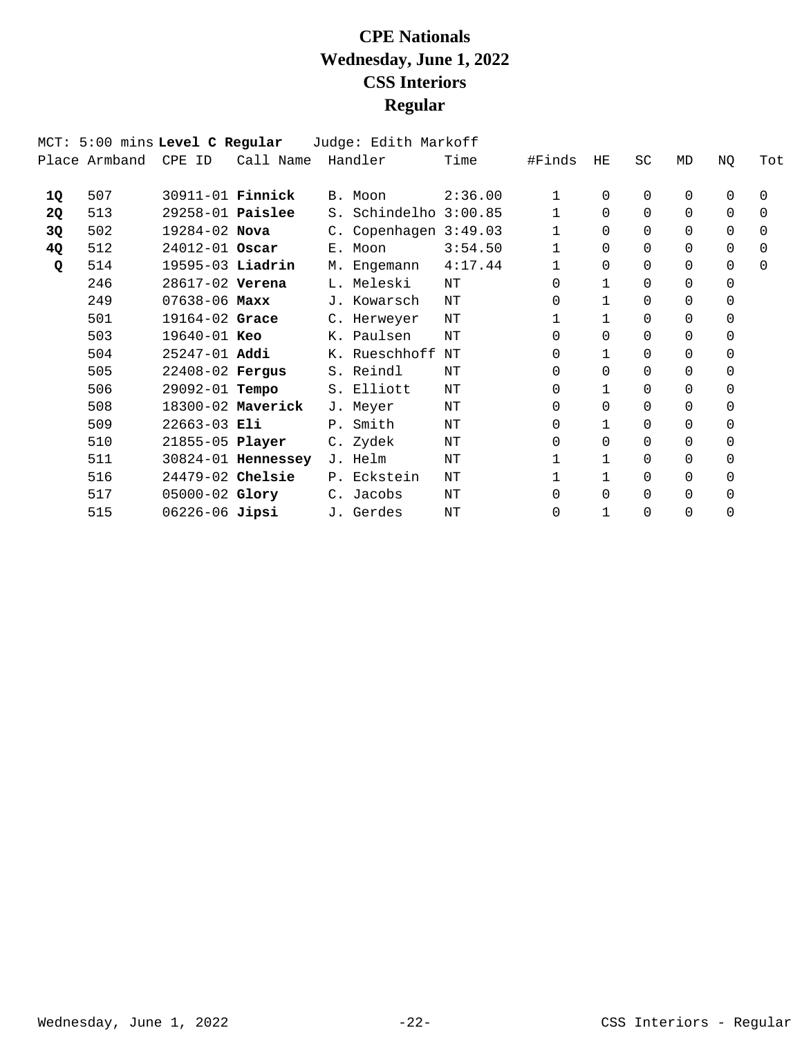|           | MCT: 5:00 mins Level C Regular |                         |                    | Judge: Edith Markoff  |         |              |          |          |          |          |          |
|-----------|--------------------------------|-------------------------|--------------------|-----------------------|---------|--------------|----------|----------|----------|----------|----------|
|           | Place Armband                  | CPE ID                  | Call Name          | Handler               | Time    | #Finds       | HE       | SC       | MD       | NQ       | Tot      |
| 1Q        | 507                            | 30911-01 <b>Finnick</b> |                    | B. Moon               | 2:36.00 | 1.           | 0        | $\Omega$ | $\Omega$ | $\Omega$ | $\Omega$ |
| <b>2Q</b> | 513                            | $29258-01$ Paislee      |                    | S. Schindelho 3:00.85 |         | 1            | 0        | $\Omega$ | $\Omega$ | 0        | 0        |
| 3Q        | 502                            | 19284-02 Nova           |                    | C. Copenhagen 3:49.03 |         | 1            | $\Omega$ | $\Omega$ | $\Omega$ | $\Omega$ | $\Omega$ |
| 4Q        | 512                            | 24012-01 Oscar          |                    | E. Moon               | 3:54.50 | $\mathbf{1}$ | 0        | $\Omega$ | $\Omega$ | 0        | 0        |
| Q         | 514                            | 19595-03 Liadrin        |                    | M. Engemann           | 4:17.44 | 1            | 0        | $\Omega$ | $\Omega$ | 0        | $\Omega$ |
|           | 246                            | 28617-02 Verena         |                    | L. Meleski            | NΤ      | 0            |          | $\Omega$ | $\Omega$ | 0        |          |
|           | 249                            | $07638 - 06$ Maxx       |                    | J. Kowarsch           | NΤ      | 0            |          | 0        | $\Omega$ | 0        |          |
|           | 501                            | 19164-02 Grace          |                    | C. Herweyer           | NΤ      | $\mathbf{1}$ |          | 0        | $\Omega$ | 0        |          |
|           | 503                            | 19640-01 Keo            |                    | K. Paulsen            | ΝT      | 0            | 0        | $\Omega$ | $\Omega$ | 0        |          |
|           | 504                            | $25247 - 01$ Addi       |                    | K. Rueschhoff         | ΝT      | 0            |          | 0        | $\Omega$ | $\Omega$ |          |
|           | 505                            | 22408-02 Fergus         |                    | S. Reindl             | NΤ      | 0            | $\Omega$ | $\Omega$ | $\Omega$ | 0        |          |
|           | 506                            | 29092-01 <b>Tempo</b>   |                    | S. Elliott            | NΤ      | 0            |          | $\Omega$ | $\Omega$ | 0        |          |
|           | 508                            |                         | 18300-02 Maverick  | J. Meyer              | NΤ      | 0            | $\Omega$ | $\Omega$ | $\Omega$ | 0        |          |
|           | 509                            | $22663 - 03$ Eli        |                    | P. Smith              | ΝT      | 0            |          | $\Omega$ | $\Omega$ | 0        |          |
|           | 510                            | 21855-05 Player         |                    | C. Zydek              | NΤ      | 0            | $\Omega$ | 0        | $\Omega$ | $\Omega$ |          |
|           | 511                            |                         | 30824-01 Hennessey | J. Helm               | NT      |              |          | $\Omega$ | $\Omega$ | 0        |          |
|           | 516                            | 24479-02 Chelsie        |                    | P. Eckstein           | ΝT      | 1            |          | $\Omega$ | $\Omega$ | $\Omega$ |          |
|           | 517                            | $05000 - 02$ Glory      |                    | C. Jacobs             | NΤ      | 0            | $\Omega$ | 0        | $\Omega$ | 0        |          |
|           | 515                            | 06226-06 Jipsi          |                    | J. Gerdes             | NΤ      | $\Omega$     |          | $\Omega$ | $\Omega$ | $\Omega$ |          |
|           |                                |                         |                    |                       |         |              |          |          |          |          |          |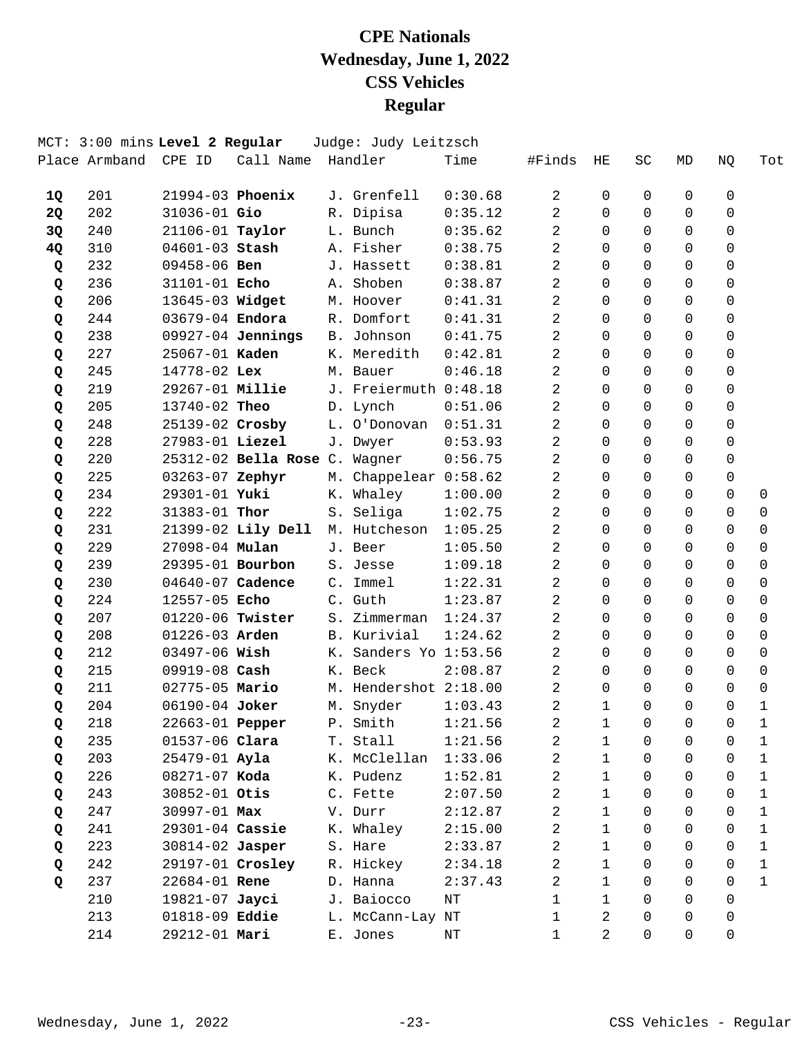|    | MCT: 3:00 mins Level 2 Regular |                      |                               |            | Judge: Judy Leitzsch  |         |              |                |          |             |             |              |
|----|--------------------------------|----------------------|-------------------------------|------------|-----------------------|---------|--------------|----------------|----------|-------------|-------------|--------------|
|    | Place Armband                  | CPE ID               | Call Name                     |            | Handler               | Time    | #Finds       | HE             | SC       | MD          | NQ          | Tot          |
| 1Q | 201                            |                      | $21994-03$ Phoenix            |            | J. Grenfell           | 0:30.68 | 2            | 0              | 0        | 0           | 0           |              |
| 2Q | 202                            | 31036-01 Gio         |                               |            | R. Dipisa             | 0:35.12 | 2            | $\Omega$       | $\Omega$ | $\Omega$    | 0           |              |
| 3Q | 240                            | 21106-01 Taylor      |                               |            | L. Bunch              | 0:35.62 | 2            | 0              | $\Omega$ | $\Omega$    | $\mathbf 0$ |              |
| 4Q | 310                            | 04601-03 Stash       |                               |            | A. Fisher             | 0:38.75 | 2            | $\Omega$       | $\Omega$ | $\Omega$    | $\mathbf 0$ |              |
| Q  | 232                            | $09458 - 06$ Ben     |                               |            | J. Hassett            | 0:38.81 | 2            | $\Omega$       | $\Omega$ | $\Omega$    | $\Omega$    |              |
| Q  | 236                            | 31101-01 Echo        |                               |            | A. Shoben             | 0:38.87 | 2            | $\Omega$       | $\Omega$ | $\Omega$    | $\Omega$    |              |
| Q  | 206                            | 13645-03 Widget      |                               |            | M. Hoover             | 0:41.31 | 2            | 0              | $\Omega$ | $\Omega$    | $\mathbf 0$ |              |
| Q  | 244                            | 03679-04 Endora      |                               |            | R. Domfort            | 0:41.31 | 2            | $\Omega$       | $\Omega$ | $\Omega$    | 0           |              |
| Q  | 238                            |                      | 09927-04 Jennings             | <b>B</b> . | Johnson               | 0:41.75 | 2            | $\Omega$       | $\Omega$ | $\Omega$    | 0           |              |
| Q  | 227                            | 25067-01 Kaden       |                               |            | K. Meredith           | 0:42.81 | 2            | $\Omega$       | $\Omega$ | $\Omega$    | 0           |              |
| Q  | 245                            | 14778-02 Lex         |                               |            | M. Bauer              | 0:46.18 | 2            | $\Omega$       | $\Omega$ | $\Omega$    | $\mathbf 0$ |              |
| Q  | 219                            | 29267-01 Millie      |                               |            | J. Freiermuth 0:48.18 |         | 2            | $\Omega$       | $\Omega$ | $\Omega$    | $\mathbf 0$ |              |
| Q  | 205                            | 13740-02 Theo        |                               |            | D. Lynch              | 0:51.06 | 2            | $\Omega$       | $\Omega$ | $\Omega$    | $\Omega$    |              |
| Q  | 248                            | 25139-02 Crosby      |                               |            | L. O'Donovan          | 0:51.31 | 2            | $\Omega$       | $\Omega$ | $\Omega$    | $\Omega$    |              |
| Q  | 228                            | 27983-01 Liezel      |                               |            | J. Dwyer              | 0:53.93 | 2            | $\Omega$       | $\Omega$ | $\Omega$    | $\mathbf 0$ |              |
| Q  | 220                            |                      | 25312-02 Bella Rose C. Wagner |            |                       | 0:56.75 | 2            | $\Omega$       | $\Omega$ | $\mathbf 0$ | $\mathbf 0$ |              |
| Q  | 225                            | 03263-07 Zephyr      |                               |            | M. Chappelear         | 0:58.62 | 2            | $\Omega$       | $\Omega$ | $\Omega$    | 0           |              |
| Q  | 234                            | 29301-01 Yuki        |                               |            | K. Whaley             | 1:00.00 | 2            | $\Omega$       | $\Omega$ | 0           | $\Omega$    | 0            |
| Q  | 222                            | 31383-01 Thor        |                               |            | S. Seliga             | 1:02.75 | 2            | $\Omega$       | $\Omega$ | $\Omega$    | $\Omega$    | $\Omega$     |
| Q  | 231                            |                      | 21399-02 Lily Dell            |            | M. Hutcheson          | 1:05.25 | 2            | $\Omega$       | $\Omega$ | $\Omega$    | $\Omega$    | 0            |
| Q  | 229                            | 27098-04 Mulan       |                               |            | J. Beer               | 1:05.50 | 2            | $\Omega$       | $\Omega$ | $\Omega$    | $\Omega$    | $\Omega$     |
| Q  | 239                            | 29395-01 Bourbon     |                               |            | S. Jesse              | 1:09.18 | 2            | $\Omega$       | $\Omega$ | $\Omega$    | $\Omega$    | 0            |
| Q  | 230                            | 04640-07 Cadence     |                               |            | C. Immel              | 1:22.31 | 2            | $\Omega$       | $\Omega$ | $\Omega$    | $\Omega$    | $\Omega$     |
| Q  | 224                            | 12557-05 Echo        |                               |            | C. Guth               | 1:23.87 | 2            | 0              | $\Omega$ | $\Omega$    | $\Omega$    | 0            |
| Q  | 207                            | $01220 - 06$ Twister |                               | $S$ .      | Zimmerman             | 1:24.37 | 2            | $\Omega$       | $\Omega$ | $\Omega$    | $\Omega$    | 0            |
| Q  | 208                            | 01226-03 Arden       |                               |            | B. Kurivial           | 1:24.62 | 2            | 0              | $\Omega$ | 0           | $\Omega$    | 0            |
| Q  | 212                            | 03497-06 Wish        |                               |            | K. Sanders Yo 1:53.56 |         | 2            | $\Omega$       | $\Omega$ | $\Omega$    | $\Omega$    | 0            |
| Q  | 215                            | 09919-08 Cash        |                               |            | K. Beck               | 2:08.87 | 2            | 0              | $\Omega$ | $\Omega$    | $\Omega$    | 0            |
| Q  | 211                            | 02775-05 Mario       |                               |            | M. Hendershot 2:18.00 |         | 2            | $\Omega$       | $\Omega$ | $\Omega$    | $\Omega$    | 0            |
| Q  | 204                            | 06190-04 Joker       |                               |            | M. Snyder             | 1:03.43 | 2            | $\mathbf{1}$   | $\Omega$ | $\Omega$    | $\Omega$    | 1            |
| Q  | 218                            | 22663-01 Pepper      |                               |            | P. Smith              | 1:21.56 | 2            | 1              | 0        | 0           | 0           | 1            |
| Q  | 235                            | 01537-06 Clara       |                               |            | T. Stall              | 1:21.56 | 2            | 1              | 0        | 0           | $\mathbf 0$ | $\mathbf{1}$ |
| Q  | 203                            | 25479-01 Ayla        |                               |            | K. McClellan          | 1:33.06 | 2            | $\mathbf{1}$   | $\Omega$ | $\Omega$    | 0           | 1            |
| Q  | 226                            | 08271-07 Koda        |                               |            | K. Pudenz             | 1:52.81 | 2            | $\mathbf{1}$   | $\Omega$ | 0           | 0           | 1            |
| Q  | 243                            | 30852-01 Otis        |                               |            | C. Fette              | 2:07.50 | 2            | 1              | 0        | 0           | 0           | 1            |
| Q  | 247                            | 30997-01 Max         |                               |            | V. Durr               | 2:12.87 | 2            | $\mathbf{1}$   | $\Omega$ | 0           | 0           | $\mathbf{1}$ |
| Q  | 241                            | 29301-04 Cassie      |                               |            | K. Whaley             | 2:15.00 | 2            | 1              | $\Omega$ | 0           | 0           | $\mathbf{1}$ |
| Q  | 223                            | 30814-02 Jasper      |                               |            | S. Hare               | 2:33.87 | 2            | 1              | $\Omega$ | 0           | 0           | 1            |
| Q  | 242                            |                      | 29197-01 Crosley              |            | R. Hickey             | 2:34.18 | 2            | 1              | 0        | 0           | 0           | 1            |
| Q  | 237                            | 22684-01 Rene        |                               |            | D. Hanna              | 2:37.43 | 2            | $\mathbf{1}$   | $\Omega$ | 0           | $\Omega$    | $\mathbf{1}$ |
|    | 210                            | 19821-07 Jayci       |                               |            | J. Baiocco            | NΤ      | 1            | 1              | $\Omega$ | 0           | 0           |              |
|    | 213                            | 01818-09 Eddie       |                               |            | L. McCann-Lay NT      |         | $\mathbf 1$  | 2              | $\Omega$ | 0           | 0           |              |
|    | 214                            | 29212-01 Mari        |                               |            | E. Jones              | ΝT      | $\mathbf{1}$ | $\overline{a}$ | $\Omega$ | 0           | 0           |              |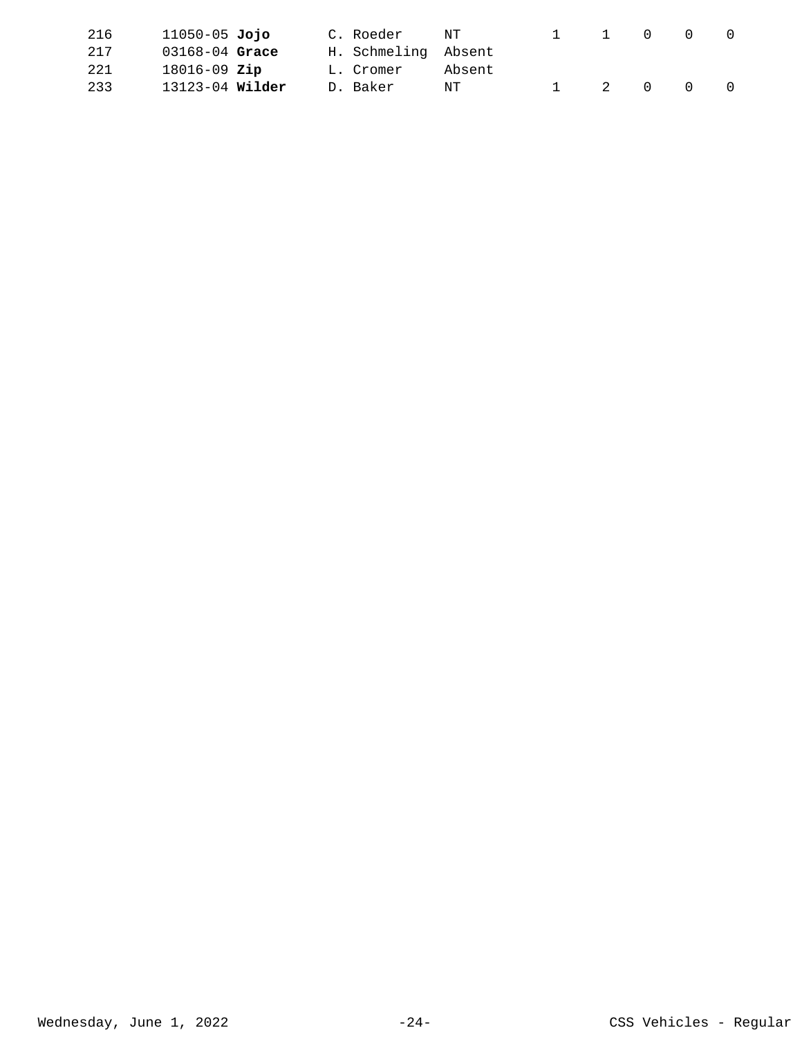| 216 | 11050-05 <b>Jojo</b> | C. Roeder | NT                  | $\sim$ $\sim$ | $\mathbf{1}$ | $\overline{0}$ | $\Omega$ | $\bigcap$ |
|-----|----------------------|-----------|---------------------|---------------|--------------|----------------|----------|-----------|
| 217 | $03168 - 04$ Grace   |           | H. Schmeling Absent |               |              |                |          |           |
| 221 | $18016 - 09$ Zip     | L. Cromer | Absent              |               |              |                |          |           |
| 233 |                      | D. Baker  | NT                  |               | 1 2 0 0      |                |          | $\cap$    |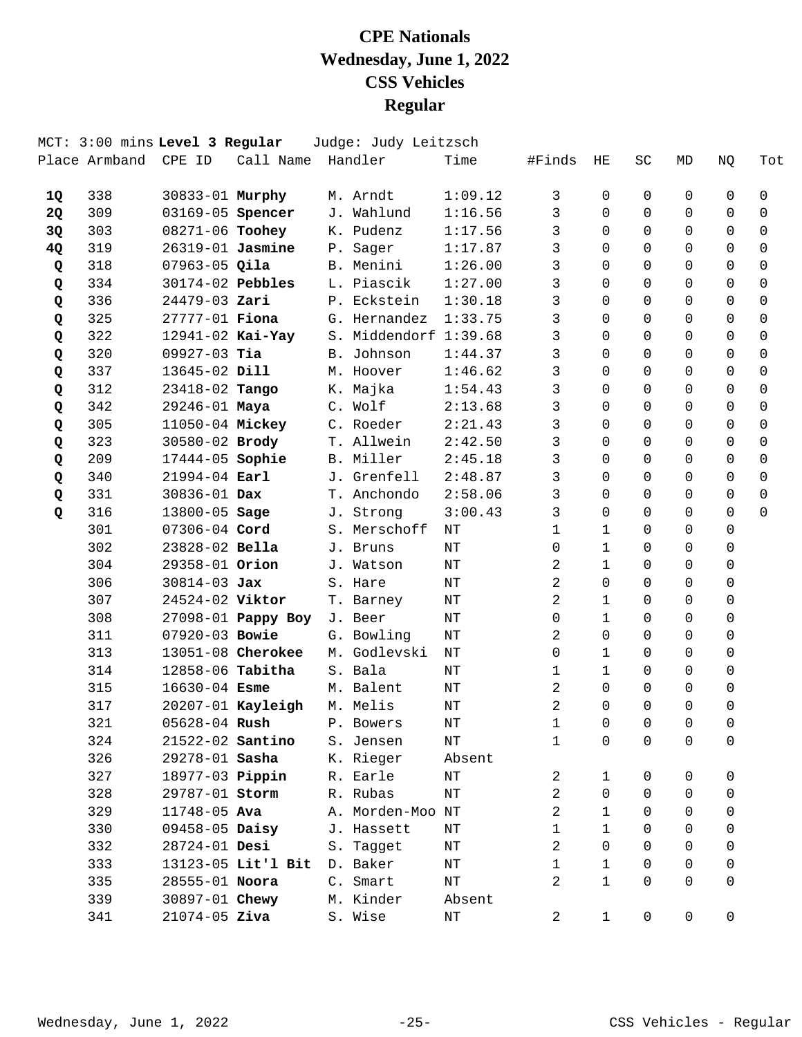|           |                      | MCT: 3:00 mins Level 3 Regular |                         | Judge: Judy Leitzsch  |           |                |                |                |                     |             |             |
|-----------|----------------------|--------------------------------|-------------------------|-----------------------|-----------|----------------|----------------|----------------|---------------------|-------------|-------------|
|           | Place Armband CPE ID |                                | Call Name Handler       |                       | Time      | #Finds         | HЕ             | SC             | MD                  | NQ          | Tot         |
| 1Q        | 338                  | 30833-01 Murphy                |                         | M. Arndt              | 1:09.12   | 3              | 0              | 0              | 0                   | 0           | 0           |
| <b>2Q</b> | 309                  |                                | 03169-05 <b>Spencer</b> | J. Wahlund            | 1:16.56   | 3              | $\Omega$       | $\Omega$       | $\Omega$            | 0           | $\Omega$    |
| 3Q        | 303                  | 08271-06 Toohey                |                         | K. Pudenz             | 1:17.56   | 3              | $\Omega$       | $\Omega$       | $\Omega$            | $\Omega$    | $\Omega$    |
| 4Q        | 319                  | 26319-01 Jasmine               |                         | P. Sager              | 1:17.87   | 3              | $\Omega$       | $\Omega$       | $\Omega$            | $\Omega$    | $\mathbf 0$ |
| Q         | 318                  | $07963 - 05$ Qila              |                         | B. Menini             | 1:26.00   | 3              | $\Omega$       | $\Omega$       | $\Omega$            | $\Omega$    | $\mathbf 0$ |
| Q         | 334                  | $30174-02$ Pebbles             |                         | L. Piascik            | 1:27.00   | 3              | $\Omega$       | $\Omega$       | $\Omega$            | $\Omega$    | $\Omega$    |
| Q         | 336                  | 24479-03 Zari                  |                         | P. Eckstein           | 1:30.18   | 3              | $\Omega$       | $\Omega$       | $\Omega$            | $\Omega$    | $\mathbf 0$ |
| Q         | 325                  | 27777-01 <b>Fiona</b>          |                         | G. Hernandez          | 1:33.75   | 3              | $\Omega$       | $\Omega$       | $\Omega$            | $\mathbf 0$ | $\mathbf 0$ |
| Q         | 322                  | $12941 - 02$ Kai-Yay           |                         | S. Middendorf 1:39.68 |           | 3              | $\Omega$       | $\Omega$       | $\Omega$            | $\Omega$    | $\mathbf 0$ |
| Q         | 320                  | $09927-03$ Tia                 |                         | B. Johnson            | 1:44.37   | 3              | $\Omega$       | $\Omega$       | $\Omega$            | $\Omega$    | 0           |
| Q         | 337                  | 13645-02 Dill                  |                         | M. Hoover             | 1:46.62   | 3              | $\Omega$       | $\Omega$       | $\Omega$            | $\Omega$    | $\Omega$    |
| Q         | 312                  | 23418-02 Tango                 |                         | K. Majka              | 1:54.43   | 3              | $\Omega$       | $\Omega$       | $\Omega$            | $\Omega$    | 0           |
| Q         | 342                  | 29246-01 Maya                  |                         | C. Wolf               | 2:13.68   | 3              | $\Omega$       | $\Omega$       | $\Omega$            | $\Omega$    | $\mathbf 0$ |
| Q         | 305                  | 11050-04 Mickey                |                         | C. Roeder             | 2:21.43   | 3              | $\Omega$       | $\Omega$       | $\Omega$            | $\Omega$    | $\Omega$    |
| Q         | 323                  | 30580-02 Brody                 |                         | T. Allwein            | 2:42.50   | 3              | $\Omega$       | $\Omega$       | $\Omega$            | $\Omega$    | $\Omega$    |
| Q         | 209                  | 17444-05 Sophie                |                         | B. Miller             | 2:45.18   | 3              | $\Omega$       | $\Omega$       | $\Omega$            | $\Omega$    | $\mathbf 0$ |
| Q         | 340                  | $21994 - 04$ Earl              |                         | J. Grenfell           | 2:48.87   | 3              | $\Omega$       | $\Omega$       | $\Omega$            | $\Omega$    | $\mathbf 0$ |
| Q         | 331                  | 30836-01 Dax                   |                         | T. Anchondo           | 2:58.06   | $\mathbf{3}$   | $\Omega$       | $\Omega$       | $\Omega$            | $\Omega$    | $\Omega$    |
| Q         | 316                  | 13800-05 Sage                  |                         | J. Strong             | 3:00.43   | 3              | $\Omega$       | $\Omega$       | $\Omega$            | $\Omega$    | $\Omega$    |
|           | 301                  | 07306-04 Cord                  |                         | S. Merschoff          | NΤ        | $\mathbf{1}$   | $\mathbf{1}$   | $\Omega$       | $\Omega$            | $\Omega$    |             |
|           | 302                  | 23828-02 Bella                 |                         | J. Bruns              | NT        | $\mathsf{O}$   | $\mathbf{1}$   | $\Omega$       | $\Omega$            | $\mathbf 0$ |             |
|           | 304                  | 29358-01 Orion                 |                         | J. Watson             | $\rm{NT}$ | 2              | $\mathbf{1}$   | $\Omega$       | $\Omega$            | $\Omega$    |             |
|           | 306                  | $30814 - 03$ Jax               |                         | S. Hare               | NΤ        | 2              | $\Omega$       | 0              | $\Omega$            | $\Omega$    |             |
|           | 307                  | 24524-02 Viktor                |                         | T. Barney             | NΤ        | 2              | $\mathbf 1$    | $\Omega$       | $\Omega$            | $\Omega$    |             |
|           | 308                  |                                | 27098-01 Pappy Boy      | J. Beer               | NΤ        | $\mathsf{O}$   | $\mathbf{1}$   | $\Omega$       | $\Omega$            | $\mathbf 0$ |             |
|           | 311                  | 07920-03 Bowie                 |                         | G. Bowling            | $\rm{NT}$ | 2              | $\Omega$       | $\Omega$       | $\Omega$            | $\Omega$    |             |
|           | 313                  |                                | 13051-08 Cherokee       | M. Godlevski          | NΤ        | $\mathbf 0$    | $\mathbf{1}$   | 0              | 0                   | $\Omega$    |             |
|           | 314                  | 12858-06 Tabitha               |                         | S. Bala               | $\rm{NT}$ | $\mathbf{1}$   | $\mathbf{1}$   | $\Omega$       | $\Omega$            | $\Omega$    |             |
|           | 315                  | $16630 - 04$ Esme              |                         | M. Balent             | ΝT        | 2              | $\Omega$       | $\Omega$       | $\Omega$            | $\mathbf 0$ |             |
|           | 317                  |                                | 20207-01 Kayleigh       | M. Melis              | $\rm{NT}$ | 2              | $\Omega$       | $\Omega$       | $\Omega$            | $\mathbf 0$ |             |
|           | 321                  |                                | 05628-04 <b>Rush</b>    | P. Bowers             | ΝT        | $\mathbf{1}$   | $\overline{0}$ | $\overline{0}$ | 0                   | 0           |             |
|           | 324                  |                                | 21522-02 Santino        | S. Jensen             | ΝT        | 1              | 0              | 0              | 0                   | 0           |             |
|           | 326                  | 29278-01 Sasha                 |                         | K. Rieger             | Absent    |                |                |                |                     |             |             |
|           | 327                  |                                | 18977-03 <b>Pippin</b>  | R. Earle              | ΝT        | $\overline{2}$ | 1              | 0              | 0                   | 0           |             |
|           | 328                  | 29787-01 Storm                 |                         | R. Rubas              | ΝT        | 2              | $\Omega$       | $\Omega$       | 0                   | 0           |             |
|           | 329                  | $11748 - 05$ Ava               |                         | A. Morden-Moo NT      |           | 2              | 1              | 0              | $\Omega$            | 0           |             |
|           | 330                  | 09458-05 Daisy                 |                         | J. Hassett            | ΝT        | $\mathbf 1$    | $\mathbf{1}$   | 0              | 0                   | 0           |             |
|           | 332                  | 28724-01 Desi                  |                         | S. Tagget             | ΝT        | $\overline{a}$ | $\Omega$       | $\Omega$       | $\Omega$            | 0           |             |
|           | 333                  |                                | 13123-05 Lit'l Bit      | D. Baker              | ΝT        | $\mathbf{1}$   | $\mathbf{1}$   | $\Omega$       | $\Omega$            | 0           |             |
|           | 335                  | 28555-01 Noora                 |                         | C. Smart              | ΝT        | 2              | $\mathbf{1}$   | $\Omega$       | $\Omega$            | 0           |             |
|           | 339                  | 30897-01 Chewy                 |                         | M. Kinder             | Absent    |                |                |                |                     |             |             |
|           | 341                  | $21074 - 05$ Ziva              |                         | S. Wise               | ΝT        | 2              | $\mathbf{1}$   | 0              | $\mathsf{O}\xspace$ | $\mathsf 0$ |             |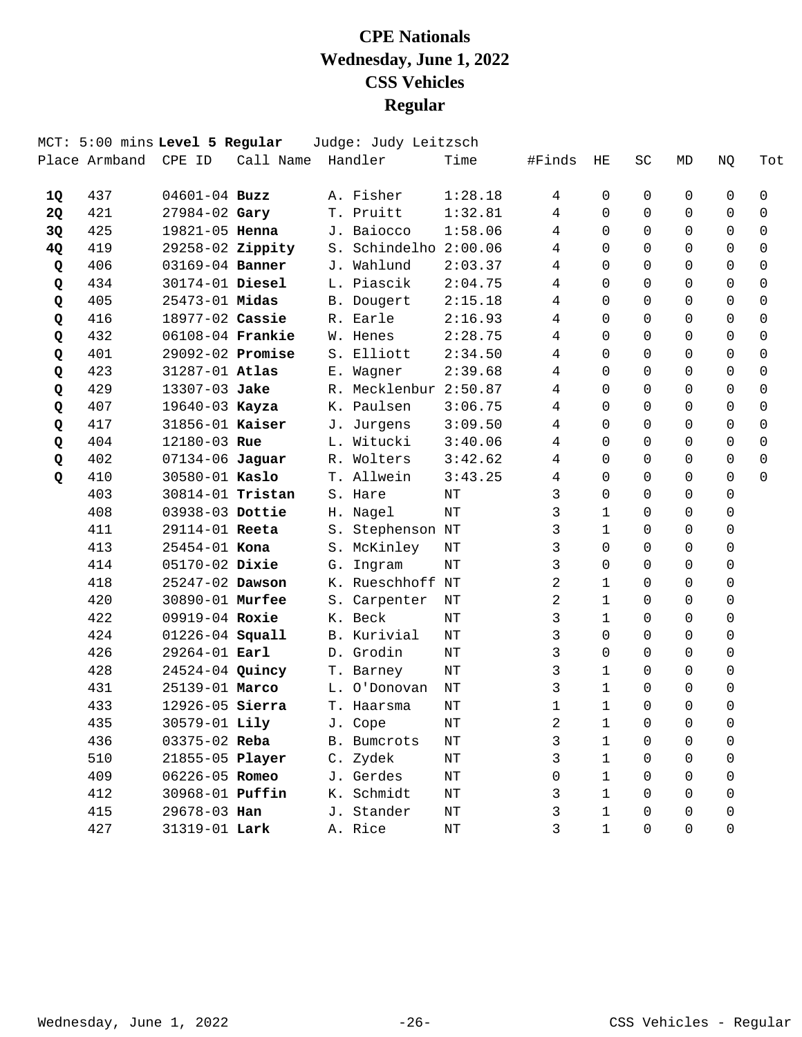|    | Place Armband | MCT: 5:00 mins Level 5 Regular<br>CPE ID | Call Name |     | Judge: Judy Leitzsch<br>Handler | Time    | #Finds      | HE           | SC       | MD       | ΝQ          | Tot         |
|----|---------------|------------------------------------------|-----------|-----|---------------------------------|---------|-------------|--------------|----------|----------|-------------|-------------|
|    |               |                                          |           |     |                                 |         |             |              |          |          |             |             |
| 1Q | 437           | $04601 - 04$ Buzz                        |           |     | A. Fisher                       | 1:28.18 | 4           | 0            | 0        | 0        | 0           | 0           |
| 2Q | 421           | 27984-02 Gary                            |           |     | T. Pruitt                       | 1:32.81 | 4           | $\Omega$     | $\Omega$ | $\Omega$ | 0           | 0           |
| 3Q | 425           | 19821-05 Henna                           |           |     | J. Baiocco                      | 1:58.06 | 4           | $\Omega$     | $\Omega$ | $\Omega$ | 0           | $\mathbf 0$ |
| 4Q | 419           | 29258-02 Zippity                         |           |     | S. Schindelho 2:00.06           |         | 4           | $\Omega$     | $\Omega$ | $\Omega$ | $\Omega$    | 0           |
| Q  | 406           | 03169-04 Banner                          |           | J., | Wahlund                         | 2:03.37 | 4           | $\Omega$     | $\Omega$ | $\Omega$ | $\Omega$    | 0           |
| Q  | 434           | 30174-01 Diesel                          |           |     | L. Piascik                      | 2:04.75 | 4           | $\Omega$     | $\Omega$ | $\Omega$ | $\Omega$    | 0           |
| Q  | 405           | $25473 - 01$ Midas                       |           |     | B. Dougert                      | 2:15.18 | 4           | 0            | $\Omega$ | $\Omega$ | 0           | 0           |
| Q  | 416           | 18977-02 Cassie                          |           |     | R. Earle                        | 2:16.93 | 4           | $\Omega$     | $\Omega$ | $\Omega$ | $\Omega$    | 0           |
| Q  | 432           | 06108-04 Frankie                         |           |     | W. Henes                        | 2:28.75 | 4           | $\Omega$     | $\Omega$ | $\Omega$ | $\Omega$    | 0           |
| Q  | 401           | 29092-02 Promise                         |           | S.  | Elliott                         | 2:34.50 | 4           | $\Omega$     | $\Omega$ | $\Omega$ | $\Omega$    | 0           |
| Q  | 423           | 31287-01 Atlas                           |           |     | E. Wagner                       | 2:39.68 | 4           | $\Omega$     | $\Omega$ | $\Omega$ | 0           | $\mathbf 0$ |
| Q  | 429           | 13307-03 Jake                            |           |     | R. Mecklenbur 2:50.87           |         | 4           | $\Omega$     | $\Omega$ | $\Omega$ | $\Omega$    | 0           |
| Q  | 407           | 19640-03 Kayza                           |           |     | K. Paulsen                      | 3:06.75 | 4           | $\Omega$     | $\Omega$ | $\Omega$ | $\Omega$    | $\Omega$    |
| Q  | 417           | 31856-01 Kaiser                          |           |     | J. Jurgens                      | 3:09.50 | 4           | $\Omega$     | $\Omega$ | $\Omega$ | 0           | 0           |
| Q  | 404           | 12180-03 Rue                             |           |     | L. Witucki                      | 3:40.06 | 4           | $\Omega$     | $\Omega$ | $\Omega$ | $\Omega$    | $\mathbf 0$ |
| Q  | 402           | 07134-06 Jaguar                          |           |     | R. Wolters                      | 3:42.62 | 4           | $\Omega$     | $\Omega$ | $\Omega$ | 0           | $\mathbf 0$ |
| Q  | 410           | 30580-01 Kaslo                           |           |     | T. Allwein                      | 3:43.25 | 4           | $\Omega$     | $\Omega$ | $\Omega$ | 0           | $\Omega$    |
|    | 403           | 30814-01 Tristan                         |           | S.  | Hare                            | NT      | 3           | $\Omega$     | $\Omega$ | 0        | 0           |             |
|    | 408           | 03938-03 Dottie                          |           |     | H. Nagel                        | NT      | 3           | 1            | $\Omega$ | $\Omega$ | $\Omega$    |             |
|    | 411           | 29114-01 Reeta                           |           |     | S. Stephenson NT                |         | 3           | $\mathbf{1}$ | $\Omega$ | $\Omega$ | 0           |             |
|    | 413           | 25454-01 Kona                            |           |     | S. McKinley                     | NT      | 3           | $\Omega$     | $\Omega$ | $\Omega$ | 0           |             |
|    | 414           | 05170-02 Dixie                           |           | G.  | Ingram                          | NT      | 3           | $\Omega$     | $\Omega$ | 0        | 0           |             |
|    | 418           | 25247-02 Dawson                          |           |     | K. Rueschhoff NT                |         | 2           | 1            | $\Omega$ | $\Omega$ | $\Omega$    |             |
|    | 420           | 30890-01 Murfee                          |           |     | S. Carpenter                    | NT      | 2           | $\mathbf{1}$ | $\Omega$ | $\Omega$ | 0           |             |
|    | 422           | 09919-04 Roxie                           |           |     | K. Beck                         | NT      | 3           | 1            | $\Omega$ | $\Omega$ | 0           |             |
|    | 424           | 01226-04 Squall                          |           |     | B. Kurivial                     | NT      | 3           | $\Omega$     | $\Omega$ | 0        | 0           |             |
|    | 426           | 29264-01 Earl                            |           |     | D. Grodin                       | NT      | 3           | $\Omega$     | $\Omega$ | $\Omega$ | 0           |             |
|    | 428           | 24524-04 Quincy                          |           |     | T. Barney                       | NT      | 3           | $\mathbf{1}$ | $\Omega$ | $\Omega$ | $\mathbf 0$ |             |
|    | 431           | 25139-01 Marco                           |           | L.  | O'Donovan                       | NT      | 3           | 1            | $\Omega$ | $\Omega$ | 0           |             |
|    | 433           | 12926-05 Sierra                          |           |     | T. Haarsma                      | NΤ      | $\mathbf 1$ | 1            | $\Omega$ | 0        | $\Omega$    |             |
|    | 435           | 30579-01 Lily                            |           |     | J. Cope                         | NΤ      | 2           | 1            | 0        | 0        | 0           |             |
|    | 436           | 03375-02 Reba                            |           |     | B. Bumcrots                     | ΝT      | 3           | 1            | 0        | 0        | 0           |             |
|    | 510           | 21855-05 Player                          |           |     | C. Zydek                        | ΝT      | 3           | 1            | 0        | 0        | 0           |             |
|    | 409           | 06226-05 Romeo                           |           |     | J. Gerdes                       | ΝT      | 0           | 1            | 0        | 0        | 0           |             |
|    | 412           | 30968-01 <b>Puffin</b>                   |           |     | K. Schmidt                      | ΝT      | 3           | 1            | 0        | 0        | $\Omega$    |             |
|    | 415           | 29678-03 Han                             |           |     | J. Stander                      | ΝT      | 3           | 1            | $\Omega$ | 0        | 0           |             |
|    | 427           | 31319-01 Lark                            |           |     | A. Rice                         | ΝT      | 3           | 1            | 0        | 0        | 0           |             |
|    |               |                                          |           |     |                                 |         |             |              |          |          |             |             |